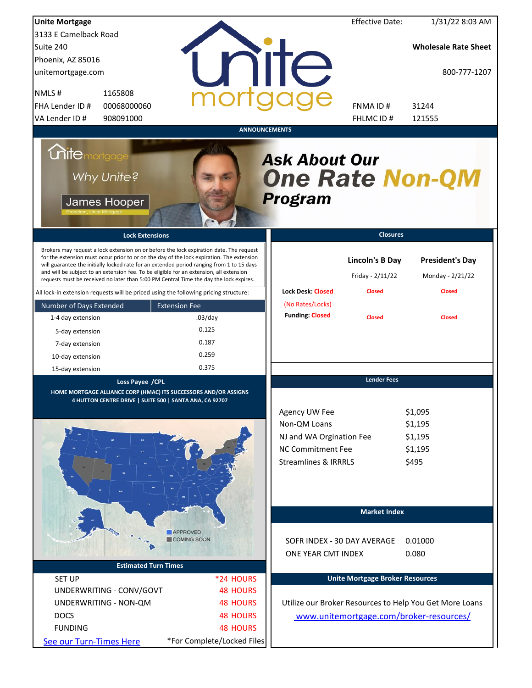| <b>Unite Mortgage</b>                                                                                                                                                                                                                                                                                                                                                                                                                                                                                                                                          |                                       |                                                                                                                          | <b>Effective Date:</b>                                      | 1/31/22 8:03 AM                                             |
|----------------------------------------------------------------------------------------------------------------------------------------------------------------------------------------------------------------------------------------------------------------------------------------------------------------------------------------------------------------------------------------------------------------------------------------------------------------------------------------------------------------------------------------------------------------|---------------------------------------|--------------------------------------------------------------------------------------------------------------------------|-------------------------------------------------------------|-------------------------------------------------------------|
| 3133 E Camelback Road                                                                                                                                                                                                                                                                                                                                                                                                                                                                                                                                          |                                       |                                                                                                                          |                                                             |                                                             |
| Suite 240                                                                                                                                                                                                                                                                                                                                                                                                                                                                                                                                                      |                                       |                                                                                                                          |                                                             | <b>Wholesale Rate Sheet</b>                                 |
| Phoenix, AZ 85016                                                                                                                                                                                                                                                                                                                                                                                                                                                                                                                                              |                                       |                                                                                                                          |                                                             |                                                             |
| unitemortgage.com                                                                                                                                                                                                                                                                                                                                                                                                                                                                                                                                              |                                       | <b>IITE</b>                                                                                                              |                                                             | 800-777-1207                                                |
| 1165808<br>NMLS#                                                                                                                                                                                                                                                                                                                                                                                                                                                                                                                                               |                                       |                                                                                                                          |                                                             |                                                             |
| 00068000060<br>FHA Lender ID #                                                                                                                                                                                                                                                                                                                                                                                                                                                                                                                                 |                                       |                                                                                                                          | FNMA ID#                                                    | 31244                                                       |
| VA Lender ID #<br>908091000                                                                                                                                                                                                                                                                                                                                                                                                                                                                                                                                    |                                       |                                                                                                                          | FHLMC ID#                                                   | 121555                                                      |
|                                                                                                                                                                                                                                                                                                                                                                                                                                                                                                                                                                |                                       | <b>ANNOUNCEMENTS</b>                                                                                                     |                                                             |                                                             |
| <i><b>Unitemortgage</b></i><br>Why Unite?<br>James Hooper                                                                                                                                                                                                                                                                                                                                                                                                                                                                                                      |                                       | <b>Ask About Our</b><br><b>One Rate Non-QM</b><br>Program                                                                |                                                             |                                                             |
| <b>Lock Extensions</b>                                                                                                                                                                                                                                                                                                                                                                                                                                                                                                                                         |                                       |                                                                                                                          | <b>Closures</b>                                             |                                                             |
| Brokers may request a lock extension on or before the lock expiration date. The request<br>for the extension must occur prior to or on the day of the lock expiration. The extension<br>will guarantee the initially locked rate for an extended period ranging from 1 to 15 days<br>and will be subject to an extension fee. To be eligible for an extension, all extension<br>requests must be received no later than 5:00 PM Central Time the day the lock expires.<br>All lock-in extension requests will be priced using the following pricing structure: |                                       | <b>Lock Desk: Closed</b>                                                                                                 | <b>Lincoln's B Day</b><br>Friday - 2/11/22<br><b>Closed</b> | <b>President's Day</b><br>Monday - 2/21/22<br><b>Closed</b> |
| Number of Days Extended                                                                                                                                                                                                                                                                                                                                                                                                                                                                                                                                        | <b>Extension Fee</b>                  | (No Rates/Locks)                                                                                                         |                                                             |                                                             |
| 1-4 day extension                                                                                                                                                                                                                                                                                                                                                                                                                                                                                                                                              | $.03$ /day                            | <b>Funding: Closed</b>                                                                                                   | <b>Closed</b>                                               | <b>Closed</b>                                               |
| 5-day extension                                                                                                                                                                                                                                                                                                                                                                                                                                                                                                                                                | 0.125                                 |                                                                                                                          |                                                             |                                                             |
| 7-day extension                                                                                                                                                                                                                                                                                                                                                                                                                                                                                                                                                | 0.187                                 |                                                                                                                          |                                                             |                                                             |
| 10-day extension                                                                                                                                                                                                                                                                                                                                                                                                                                                                                                                                               | 0.259                                 |                                                                                                                          |                                                             |                                                             |
|                                                                                                                                                                                                                                                                                                                                                                                                                                                                                                                                                                | 0.375                                 |                                                                                                                          |                                                             |                                                             |
| 15-day extension<br>Loss Payee /CPL                                                                                                                                                                                                                                                                                                                                                                                                                                                                                                                            |                                       |                                                                                                                          | <b>Lender Fees</b>                                          |                                                             |
| HOME MORTGAGE ALLIANCE CORP (HMAC) ITS SUCCESSORS AND/OR ASSIGNS<br>4 HUTTON CENTRE DRIVE   SUITE 500   SANTA ANA, CA 92707                                                                                                                                                                                                                                                                                                                                                                                                                                    |                                       | Agency UW Fee<br>Non-QM Loans<br>NJ and WA Orgination Fee<br><b>NC Commitment Fee</b><br><b>Streamlines &amp; IRRRLS</b> |                                                             | \$1,095<br>\$1,195<br>\$1,195<br>\$1,195<br>\$495           |
|                                                                                                                                                                                                                                                                                                                                                                                                                                                                                                                                                                |                                       |                                                                                                                          | <b>Market Index</b>                                         |                                                             |
| <b>Estimated Turn Times</b>                                                                                                                                                                                                                                                                                                                                                                                                                                                                                                                                    | <b>APPROVED</b><br><b>COMING SOON</b> | SOFR INDEX - 30 DAY AVERAGE<br>ONE YEAR CMT INDEX                                                                        |                                                             | 0.01000<br>0.080                                            |
| <b>SET UP</b>                                                                                                                                                                                                                                                                                                                                                                                                                                                                                                                                                  | *24 HOURS                             |                                                                                                                          | <b>Unite Mortgage Broker Resources</b>                      |                                                             |
| UNDERWRITING - CONV/GOVT                                                                                                                                                                                                                                                                                                                                                                                                                                                                                                                                       | <b>48 HOURS</b>                       |                                                                                                                          |                                                             |                                                             |
|                                                                                                                                                                                                                                                                                                                                                                                                                                                                                                                                                                |                                       |                                                                                                                          |                                                             |                                                             |
| UNDERWRITING - NON-QM                                                                                                                                                                                                                                                                                                                                                                                                                                                                                                                                          | <b>48 HOURS</b>                       |                                                                                                                          |                                                             | Utilize our Broker Resources to Help You Get More Loans     |
| <b>DOCS</b>                                                                                                                                                                                                                                                                                                                                                                                                                                                                                                                                                    | <b>48 HOURS</b>                       |                                                                                                                          |                                                             | www.unitemortgage.com/broker-resources/                     |
| <b>FUNDING</b>                                                                                                                                                                                                                                                                                                                                                                                                                                                                                                                                                 | <b>48 HOURS</b>                       |                                                                                                                          |                                                             |                                                             |
| See our Turn-Times Here                                                                                                                                                                                                                                                                                                                                                                                                                                                                                                                                        | *For Complete/Locked Files            |                                                                                                                          |                                                             |                                                             |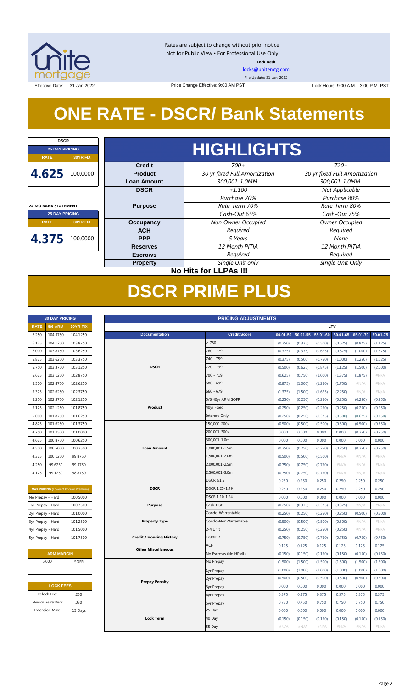

Rates are subject to change without prior notice Not for Public View • For Professional Use Only **Lock Desk**

[locks@unitemtg.com](mailto:locks@unitemtg.com)

File Update: 31-Jan-2022

Effective Date: 31-Jan-2022 **Lock Hours: 9:00 A.M. - 3:00 P.M. PST** Lock Hours: 9:00 A.M. - 3:00 P.M. PST

# **ONE RATE - DSCR/ Bank Statements**

Price Change Effective: 9:00 AM PST

| <b>DSCR</b>                    |                 |  |  |
|--------------------------------|-----------------|--|--|
| <b>25 DAY PRICING</b>          |                 |  |  |
| <b>RATE</b>                    | <b>30YR FIX</b> |  |  |
| 4.625                          | 100.0000        |  |  |
|                                |                 |  |  |
|                                |                 |  |  |
| <b>24 MO BANK STATEMENT</b>    |                 |  |  |
| <b>25 DAY PRICING</b>          |                 |  |  |
| <b>RATE</b><br><b>30YR FIX</b> |                 |  |  |
| 4.375                          | 100.0000        |  |  |

# **HIGHLIGHTS**

| <b>Credit</b>      | $700+$                        | $720+$                        |  |  |
|--------------------|-------------------------------|-------------------------------|--|--|
| <b>Product</b>     | 30 yr fixed Full Amortization | 30 yr fixed Full Amortization |  |  |
| <b>Loan Amount</b> | 300,001-1.0MM                 | 300,001-1.0MM                 |  |  |
| <b>DSCR</b>        | $+1.100$                      | Not Applicable                |  |  |
|                    | Purchase 70%                  | Purchase 80%                  |  |  |
| <b>Purpose</b>     | Rate-Term 70%                 | Rate-Term 80%                 |  |  |
|                    | Cash-Out 65%                  | Cash-Out 75%                  |  |  |
| Occupancy          | Non Owner Occupied            | Owner Occupied                |  |  |
| <b>ACH</b>         | Required<br>Required          |                               |  |  |
| <b>PPP</b>         | 5 Years                       | None                          |  |  |
| <b>Reserves</b>    | 12 Month PITIA                | 12 Month PITIA                |  |  |
| <b>Escrows</b>     | Required                      | Required                      |  |  |
| <b>Property</b>    | Single Unit only              | Single Unit Only              |  |  |

**30 DAY PRICING PRICING ADJUSTMENTS**

**No Hits for LLPAs !!!**

# **DSCR PRIME PLUS**

| <b>30 DAY PRICING</b> |                |                 |  |
|-----------------------|----------------|-----------------|--|
| <b>RATE</b>           | <b>5/6 ARM</b> | <b>30YR FIX</b> |  |
| 6.250                 | 104.3750       | 104.1250        |  |
| 6.125                 | 104.1250       | 103.8750        |  |
| 6.000                 | 103.8750       | 103.6250        |  |
| 5.875                 | 103.6250       | 103.3750        |  |
| 5.750                 | 103.3750       | 103.1250        |  |
| 5.625                 | 103.1250       | 102.8750        |  |
| 5.500                 | 102.8750       | 102.6250        |  |
| 5.375                 | 102.6250       | 102.3750        |  |
| 5.250                 | 102.3750       | 102.1250        |  |
| 5.125                 | 102.1250       | 101.8750        |  |
| 5.000                 | 101.8750       | 101.6250        |  |
| 4.875                 | 101.6250       | 101.3750        |  |
| 4.750                 | 101.2500       | 101.0000        |  |
| 4.625                 | 100.8750       | 100.6250        |  |
| 4.500                 | 100.5000       | 100.2500        |  |
| 4.375                 | 100.1250       | 99.8750         |  |
| 4.250                 | 99.6250        | 99.3750         |  |
| 4125                  | 991250         | 98 8750         |  |

| <b>MAX PRICING</b> (Lower of Price or Premium) |          |  |  |  |
|------------------------------------------------|----------|--|--|--|
| No Prepay - Hard                               | 100.5000 |  |  |  |
| 1yr Prepay - Hard                              | 100.7500 |  |  |  |
| 2yr Prepay - Hard                              | 101.0000 |  |  |  |
| 3yr Prepay - Hard                              | 101.2500 |  |  |  |
| 4yr Prepay - Hard                              | 101.5000 |  |  |  |
| 5yr Prepay - Hard                              | 101.7500 |  |  |  |

| <b>ARM MARGIN</b> |      |  |  |
|-------------------|------|--|--|
| 5.000             | SOFR |  |  |
|                   |      |  |  |

| <b>LOCK FEES</b>        |         |  |  |
|-------------------------|---------|--|--|
| Relock Fee:             | .250    |  |  |
| Extension Fee Per Diem: | .030    |  |  |
| <b>Extension Max:</b>   | 15 Days |  |  |
|                         |         |  |  |

| <b>RATE</b>       | <b>5/6 ARM</b>          | 30YR FIX                                | LTV                             |                      |              |              |         |                   |          |          |
|-------------------|-------------------------|-----------------------------------------|---------------------------------|----------------------|--------------|--------------|---------|-------------------|----------|----------|
| 6.250             | 104.3750                | 104.1250                                | <b>Documentation</b>            | <b>Credit Score</b>  | $00.01 - 50$ | $50.01 - 55$ |         | 55.01-60 60.01-65 | 65.01-70 | 70.01-75 |
| 6.125             | 104.1250                | 103.8750                                |                                 | $\geq 780$           | (0.250)      | (0.375)      | (0.500) | (0.625)           | (0.875)  | (1.125)  |
| 6.000             | 103.8750                | 103.6250                                |                                 | 760 - 779            | (0.375)      | (0.375)      | (0.625) | (0.875)           | (1.000)  | (1.375)  |
| 5.875             | 103.6250                | 103.3750                                |                                 | 740 - 759            | (0.375)      | (0.500)      | (0.750) | (1.000)           | (1.250)  | (1.625)  |
| 5.750             | 103.3750                | 103.1250                                | <b>DSCR</b>                     | 720 - 739            | (0.500)      | (0.625)      | (0.875) | (1.125)           | (1.500)  | (2.000)  |
| 5.625             | 103.1250                | 102.8750                                |                                 | 700 - 719            | (0.625)      | (0.750)      | (1.000) | (1.375)           | (1.875)  | #N/A     |
| 5.500             | 102.8750                | 102.6250                                |                                 | 680 - 699            | (0.875)      | (1.000)      | (1.250) | (1.750)           | #N/A     | #N/A     |
| 5.375             | 102.6250                | 102.3750                                |                                 | $660 - 679$          | (1.375)      | (1.500)      | (1.625) | (2.250)           | #N/A     | #N/A     |
| 5.250             | 102.3750                | 102.1250                                |                                 | 5/6 40yr ARM SOFR    | (0.250)      | (0.250)      | (0.250) | (0.250)           | (0.250)  | (0.250)  |
| 5.125             | 102.1250                | 101.8750                                | Product                         | 40yr Fixed           | (0.250)      | (0.250)      | (0.250) | (0.250)           | (0.250)  | (0.250)  |
| 5.000             | 101.8750                | 101.6250                                |                                 | Interest-Only        | (0.250)      | (0.250)      | (0.375) | (0.500)           | (0.625)  | (0.750)  |
| 4.875             | 101.6250                | 101.3750                                |                                 | 150,000-200k         | (0.500)      | (0.500)      | (0.500) | (0.500)           | (0.500)  | (0.750)  |
| 4.750             | 101.2500                | 101.0000                                |                                 | 200,001-300k         | 0.000        | 0.000        | 0.000   | 0.000             | (0.250)  | (0.250)  |
| 4.625             | 100.8750                | 100.6250                                |                                 | 300,001-1.0m         | 0.000        | 0.000        | 0.000   | 0.000             | 0.000    | 0.000    |
| 4.500             | 100.5000                | 100.2500                                | <b>Loan Amount</b>              | 1,000,001-1.5m       | (0.250)      | (0.250)      | (0.250) | (0.250)           | (0.250)  | (0.250)  |
| 4.375             | 100.1250                | 99.8750                                 |                                 | 1,500,001-2.0m       | (0.500)      | (0.500)      | (0.500) | #N/A              | #N/A     | #N/A     |
| 4.250             | 99.6250                 | 99.3750                                 |                                 | 2,000,001-2.5m       | (0.750)      | (0.750)      | (0.750) | #N/A              | #N/A     | #N/A     |
| 4.125             | 99.1250                 | 98.8750                                 |                                 | 2,500,001-3.0m       | (0.750)      | (0.750)      | (0.750) | $\#N/A$           | $\#N/A$  | #N/A     |
|                   |                         |                                         |                                 | $DSCR \geq 1.5$      | 0.250        | 0.250        | 0.250   | 0.250             | 0.250    | 0.250    |
|                   |                         | MAX PRICING (Lower of Price or Premium) | <b>DSCR</b>                     | DSCR 1.25-1.49       | 0.250        | 0.250        | 0.250   | 0.250             | 0.250    | 0.250    |
| No Prepay - Hard  |                         | 100.5000                                |                                 | DSCR 1.10-1.24       | 0.000        | 0.000        | 0.000   | 0.000             | 0.000    | 0.000    |
| 1yr Prepay - Hard |                         | 100.7500                                | <b>Purpose</b>                  | Cash-Out             | (0.250)      | (0.375)      | (0.375) | (0.375)           | #N/A     | #N/A     |
| 2yr Prepay - Hard |                         | 101.0000                                |                                 | Condo-Warrantable    | (0.250)      | (0.250)      | (0.250) | (0.250)           | (0.500)  | (0.500)  |
| 3yr Prepay - Hard |                         | 101.2500                                | <b>Property Type</b>            | Condo-NonWarrantable | (0.500)      | (0.500)      | (0.500) | (0.500)           | #N/A     | #N/A     |
| 4yr Prepay - Hard |                         | 101.5000                                |                                 | 2-4 Unit             | (0.250)      | (0.250)      | (0.250) | (0.250)           | #N/A     | #N/A     |
| 5yr Prepay - Hard |                         | 101.7500                                | <b>Credit / Housing History</b> | 1x30x12              | (0.750)      | (0.750)      | (0.750) | (0.750)           | (0.750)  | (0.750)  |
|                   |                         |                                         |                                 | <b>ACH</b>           | 0.125        | 0.125        | 0.125   | 0.125             | 0.125    | 0.125    |
|                   | <b>ARM MARGIN</b>       |                                         | <b>Other Miscellaneous</b>      | No Escrows (No HPML) | (0.150)      | (0.150)      | (0.150) | (0.150)           | (0.150)  | (0.150)  |
|                   | 5.000                   | <b>SOFR</b>                             |                                 | No Prepay            | (1.500)      | (1.500)      | (1.500) | (1.500)           | (1.500)  | (1.500)  |
|                   |                         |                                         |                                 | 1yr Prepay           | (1.000)      | (1.000)      | (1.000) | (1.000)           | (1.000)  | (1.000)  |
|                   |                         |                                         | <b>Prepay Penalty</b>           | 2yr Prepay           | (0.500)      | (0.500)      | (0.500) | (0.500)           | (0.500)  | (0.500)  |
|                   | <b>LOCK FEES</b>        |                                         |                                 | <b>3yr Prepay</b>    | 0.000        | 0.000        | 0.000   | 0.000             | 0.000    | 0.000    |
|                   | Relock Fee:             | .250                                    |                                 | 4yr Prepay           | 0.375        | 0.375        | 0.375   | 0.375             | 0.375    | 0.375    |
|                   | Extension Fee Per Diem: | .030                                    |                                 | <b>5yr Prepay</b>    | 0.750        | 0.750        | 0.750   | 0.750             | 0.750    | 0.750    |
|                   | <b>Extension Max:</b>   | 15 Days                                 |                                 | 25 Day               | 0.000        | 0.000        | 0.000   | 0.000             | 0.000    | 0.000    |
|                   |                         |                                         | <b>Lock Term</b>                | 40 Day               | (0.150)      | (0.150)      | (0.150) | (0.150)           | (0.150)  | (0.150)  |
|                   |                         |                                         |                                 | 55 Day               | $\#N/A$      | $\#N/A$      | $\#N/A$ | $\#N/A$           | $\#N/A$  | $\#N/A$  |
|                   |                         |                                         |                                 |                      |              |              |         |                   |          |          |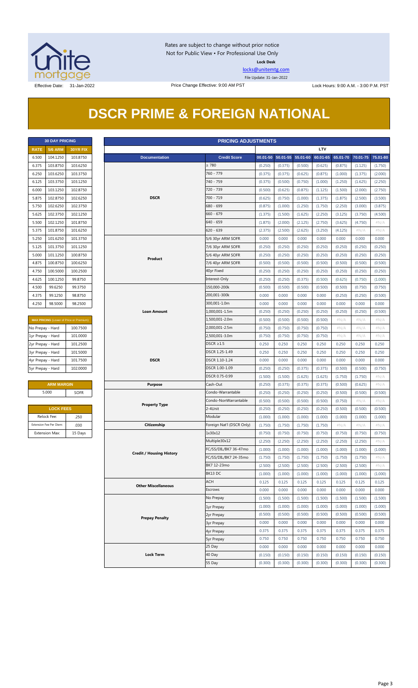

Rates are subject to change without prior notice Not for Public View • For Professional Use Only **Lock Desk**

[locks@unitemtg.com](mailto:locks@unitemtg.com)

File Update: 31-Jan-2022

Effective Date: 31-Jan-2022 Price Change Effective: 9:00 AM PST Lock Hours: 9:00 A.M. - 3:00 P.M. PST

# **DSCR PRIME & FOREIGN NATIONAL**

| <b>30 DAY PRICING</b> |                    |                 |  |  |
|-----------------------|--------------------|-----------------|--|--|
| <b>RATE</b>           | <b>5/6 ARM</b>     | <b>30YR FIX</b> |  |  |
| 6.500                 | 104.1250           | 103.8750        |  |  |
| 6.375                 | 103.8750           | 103.6250        |  |  |
| 6.250                 | 103.6250           | 103.3750        |  |  |
| 6.125                 | 103.3750           | 103.1250        |  |  |
| 6.000                 | 103.1250           | 102.8750        |  |  |
| 5.875                 | 102.8750           | 102.6250        |  |  |
| 5.750                 | 102.6250           | 102.3750        |  |  |
| 5.625                 | 102.3750           | 102.1250        |  |  |
| 5.500                 | 102.1250           | 101.8750        |  |  |
| 5.375                 | 101.8750           | 101.6250        |  |  |
| 5.250                 | 101.6250           | 101.3750        |  |  |
| 5.125                 | 101.3750           | 101.1250        |  |  |
| 5.000                 | 101.1250           | 100.8750        |  |  |
| 4.875                 | 100.8750           | 100.6250        |  |  |
| 4.750                 | 100.5000           | 100.2500        |  |  |
| 4.625                 | 100.1250           | 99.8750         |  |  |
| 4.500                 | 99.6250            | 99.3750         |  |  |
| 4.375                 | 99.1250<br>98.8750 |                 |  |  |
| 4.250                 | 98.2500<br>98.5000 |                 |  |  |

| <b>MAX PRICING (Lower of Price or Premium)</b> |          |  |  |
|------------------------------------------------|----------|--|--|
| No Prepay - Hard                               | 100.7500 |  |  |
| 1yr Prepay - Hard                              | 101.0000 |  |  |
| 2yr Prepay - Hard                              | 101.2500 |  |  |
| 3yr Prepay - Hard                              | 101.5000 |  |  |
| 4yr Prepay - Hard                              | 101.7500 |  |  |
| 5yr Prepay - Hard                              | 102,0000 |  |  |

| <b>ARM MARGIN</b> |             |  |
|-------------------|-------------|--|
| 5.000             | <b>SOFR</b> |  |

| <b>LOCK FEES</b>        |         |  |  |
|-------------------------|---------|--|--|
| Relock Fee:             | .250    |  |  |
| Extension Fee Per Diem: | .030    |  |  |
| <b>Extension Max:</b>   | 15 Days |  |  |

|                   | <b>30 DAY PRICING</b>   |                                         | <b>PRICING ADJUSTMENTS</b>      |                           |         |                            |         |          |          |          |          |
|-------------------|-------------------------|-----------------------------------------|---------------------------------|---------------------------|---------|----------------------------|---------|----------|----------|----------|----------|
| <b>RATE</b>       | <b>5/6 ARM</b>          | 30YR FIX                                |                                 |                           |         |                            |         | LTV      |          |          |          |
| 6.500             | 104.1250                | 103.8750                                | <b>Documentation</b>            | <b>Credit Score</b>       |         | 00.01-50 50.01-55 55.01-60 |         | 60.01-65 | 65.01-70 | 70.01-75 | 75.01-80 |
| 6.375             | 103.8750                | 103.6250                                |                                 | $\geq 780$                | (0.250) | (0.375)                    | (0.500) | (0.625)  | (0.875)  | (1.125)  | (1.750)  |
| 6.250             | 103.6250                | 103.3750                                |                                 | 760 - 779                 | (0.375) | (0.375)                    | (0.625) | (0.875)  | (1.000)  | (1.375)  | (2.000)  |
| 6.125             | 103.3750                | 103.1250                                |                                 | 740 - 759                 | (0.375) | (0.500)                    | (0.750) | (1.000)  | (1.250)  | (1.625)  | (2.250)  |
| 6.000             | 103.1250                | 102.8750                                |                                 | 720 - 739                 | (0.500) | (0.625)                    | (0.875) | (1.125)  | (1.500)  | (2.000)  | (2.750)  |
| 5.875             | 102.8750                | 102.6250                                | <b>DSCR</b>                     | 700 - 719                 | (0.625) | (0.750)                    | (1.000) | (1.375)  | (1.875)  | (2.500)  | (3.500)  |
| 5.750             | 102.6250                | 102.3750                                |                                 | 680 - 699                 | (0.875) | (1.000)                    | (1.250) | (1.750)  | (2.250)  | (3.000)  | (3.875)  |
| 5.625             | 102.3750                | 102.1250                                |                                 | $660 - 679$               | (1.375) | (1.500)                    | (1.625) | (2.250)  | (3.125)  | (3.750)  | (4.500)  |
| 5.500             | 102.1250                | 101.8750                                |                                 | $640 - 659$               | (1.875) | (2.000)                    | (2.125) | (2.750)  | (3.625)  | (4.750)  | $\#N/A$  |
| 5.375             | 101.8750                | 101.6250                                |                                 | $620 - 639$               | (2.375) | (2.500)                    | (2.625) | (3.250)  | (4.125)  | $\#N/A$  | # $N/A$  |
| 5.250             | 101.6250                | 101.3750                                |                                 | 5/6 30yr ARM SOFR         | 0.000   | 0.000                      | 0.000   | 0.000    | 0.000    | 0.000    | 0.000    |
| 5.125             | 101.3750                | 101.1250                                |                                 | 7/6 30yr ARM SOFR         | (0.250) | (0.250)                    | (0.250) | (0.250)  | (0.250)  | (0.250)  | (0.250)  |
| 5.000             | 101.1250                | 100.8750                                |                                 | 5/6 40yr ARM SOFR         | (0.250) | (0.250)                    | (0.250) | (0.250)  | (0.250)  | (0.250)  | (0.250)  |
| 4.875             | 100.8750                | 100.6250                                | Product                         | 7/6 40yr ARM SOFR         | (0.500) | (0.500)                    | (0.500) | (0.500)  | (0.500)  | (0.500)  | (0.500)  |
| 4.750             | 100.5000                | 100.2500                                |                                 | 40yr Fixed                | (0.250) | (0.250)                    | (0.250) | (0.250)  | (0.250)  | (0.250)  | (0.250)  |
| 4.625             | 100.1250                | 99.8750                                 |                                 | Interest-Only             | (0.250) | (0.250)                    | (0.375) | (0.500)  | (0.625)  | (0.750)  | (1.000)  |
| 4.500             | 99.6250                 | 99.3750                                 |                                 | 150,000-200k              | (0.500) | (0.500)                    | (0.500) | (0.500)  | (0.500)  | (0.750)  | (0.750)  |
| 4.375             | 99.1250                 | 98.8750                                 |                                 | 200,001-300k              | 0.000   | 0.000                      | 0.000   | 0.000    | (0.250)  | (0.250)  | (0.500)  |
| 4.250             | 98.5000                 | 98.2500                                 |                                 | 300,001-1.0m              | 0.000   | 0.000                      | 0.000   | 0.000    | 0.000    | 0.000    | 0.000    |
|                   |                         |                                         | <b>Loan Amount</b>              | 1,000,001-1.5m            | (0.250) | (0.250)                    | (0.250) | (0.250)  | (0.250)  | (0.250)  | (0.500)  |
|                   |                         | MAX PRICING (Lower of Price or Premium) |                                 | 1,500,001-2.0m            | (0.500) | (0.500)                    | (0.500) | (0.500)  | #N/A     | $\#N/A$  | #N/A     |
| No Prepay - Hard  |                         | 100.7500                                |                                 | 2,000,001-2.5m            | (0.750) | (0.750)                    | (0.750) | (0.750)  | #N/A     | $\#N/A$  | #N/A     |
| 1yr Prepay - Hard |                         | 101.0000                                |                                 | 2,500,001-3.0m            | (0.750) | (0.750)                    | (0.750) | (0.750)  | $\#N/A$  | $\#N/A$  | $\#N/A$  |
| 2yr Prepay - Hard |                         | 101.2500                                |                                 | $DSCR \geq 1.5$           | 0.250   | 0.250                      | 0.250   | 0.250    | 0.250    | 0.250    | 0.250    |
| 3yr Prepay - Hard |                         | 101.5000                                |                                 | DSCR 1.25-1.49            | 0.250   | 0.250                      | 0.250   | 0.250    | 0.250    | 0.250    | 0.250    |
| 4yr Prepay - Hard |                         | 101.7500                                | <b>DSCR</b>                     | DSCR 1.10-1.24            | 0.000   | 0.000                      | 0.000   | 0.000    | 0.000    | 0.000    | 0.000    |
| 5yr Prepay - Hard |                         | 102.0000                                |                                 | DSCR 1.00-1.09            | (0.250) | (0.250)                    | (0.375) | (0.375)  | (0.500)  | (0.500)  | (0.750)  |
|                   |                         |                                         |                                 | DSCR 0.75-0.99            | (1.500) | (1.500)                    | (1.625) | (1.625)  | (1.750)  | (1.750)  | $\#N/A$  |
|                   | <b>ARM MARGIN</b>       |                                         | <b>Purpose</b>                  | Cash-Out                  | (0.250) | (0.375)                    | (0.375) | (0.375)  | (0.500)  | (0.625)  | $\#N/A$  |
|                   | 5.000                   | <b>SOFR</b>                             |                                 | Condo-Warrantable         | (0.250) | (0.250)                    | (0.250) | (0.250)  | (0.500)  | (0.500)  | (0.500)  |
|                   |                         |                                         |                                 | Condo-NonWarrantable      | (0.500) | (0.500)                    | (0.500) | (0.500)  | (0.750)  | $\#N/A$  | $\#N/A$  |
|                   | <b>LOCK FEES</b>        |                                         | <b>Property Type</b>            | 2-4Unit                   | (0.250) | (0.250)                    | (0.250) | (0.250)  | (0.500)  | (0.500)  | (0.500)  |
|                   | Relock Fee:             | .250                                    |                                 | Modular                   | (1.000) | (1.000)                    | (1.000) | (1.000)  | (1.000)  | (1.000)  | (1.000)  |
|                   | Extension Fee Per Diem: | .030                                    | Citizenship                     | Foreign Nat'l (DSCR Only) | (1.750) | (1.750)                    | (1.750) | (1.750)  | #N/A     | $\#N/A$  | $\#N/A$  |
|                   | <b>Extension Max:</b>   | 15 Days                                 |                                 | 1x30x12                   | (0.750) | (0.750)                    | (0.750) | (0.750)  | (0.750)  | (0.750)  | (0.750)  |
|                   |                         |                                         |                                 | Multiple30x12             | (2.250) | (2.250)                    | (2.250) | (2.250)  | (2.250)  | (2.250)  | # $N/A$  |
|                   |                         |                                         |                                 | FC/SS/DIL/BK7 36-47mo     | (1.000) | (1.000)                    | (1.000) | (1.000)  | (1.000)  | (1.000)  | (1.000)  |
|                   |                         |                                         | <b>Credit / Housing History</b> | FC/SS/DIL/BK7 24-35mo     | (1.750) | (1.750)                    | (1.750) | (1.750)  | (1.750)  | (1.750)  | $\#N/A$  |
|                   |                         |                                         |                                 | BK7 12-23mo               | (2.500) | (2.500)                    | (2.500) | (2.500)  | (2.500)  | (2.500)  | $\#N/A$  |
|                   |                         |                                         |                                 | BK13 DC                   | (1.000) | (1.000)                    | (1.000) | (1.000)  | (1.000)  | (1.000)  | (1.000)  |
|                   |                         |                                         |                                 | ACH                       | 0.125   | 0.125                      | 0.125   | 0.125    | 0.125    | 0.125    | 0.125    |
|                   |                         |                                         | <b>Other Miscellaneous</b>      | Escrows                   | 0.000   | 0.000                      | 0.000   | 0.000    | 0.000    | 0.000    | 0.000    |
|                   |                         |                                         |                                 | No Prepay                 | (1.500) | (1.500)                    | (1.500) | (1.500)  | (1.500)  | (1.500)  | (1.500)  |
|                   |                         |                                         |                                 | 1yr Prepay                | (1.000) | (1.000)                    | (1.000) | (1.000)  | (1.000)  | (1.000)  | (1.000)  |
|                   |                         |                                         |                                 | 2yr Prepay                | (0.500) | (0.500)                    | (0.500) | (0.500)  | (0.500)  | (0.500)  | (0.500)  |
|                   |                         |                                         | <b>Prepay Penalty</b>           | <b>3yr Prepay</b>         | 0.000   | 0.000                      | 0.000   | 0.000    | 0.000    | 0.000    | 0.000    |
|                   |                         |                                         |                                 | 4yr Prepay                | 0.375   | 0.375                      | 0.375   | 0.375    | 0.375    | 0.375    | 0.375    |
|                   |                         |                                         |                                 | <b>5yr Prepay</b>         | 0.750   | 0.750                      | 0.750   | 0.750    | 0.750    | 0.750    | 0.750    |
|                   |                         |                                         |                                 | 25 Day                    | 0.000   | 0.000                      | 0.000   | 0.000    | 0.000    | 0.000    | 0.000    |
|                   |                         |                                         | <b>Lock Term</b>                | 40 Day                    | (0.150) | (0.150)                    | (0.150) | (0.150)  | (0.150)  | (0.150)  | (0.150)  |
|                   |                         |                                         |                                 | 55 Day                    | (0.300) | (0.300)                    | (0.300) | (0.300)  | (0.300)  | (0.300)  | (0.300)  |
|                   |                         |                                         |                                 |                           |         |                            |         |          |          |          |          |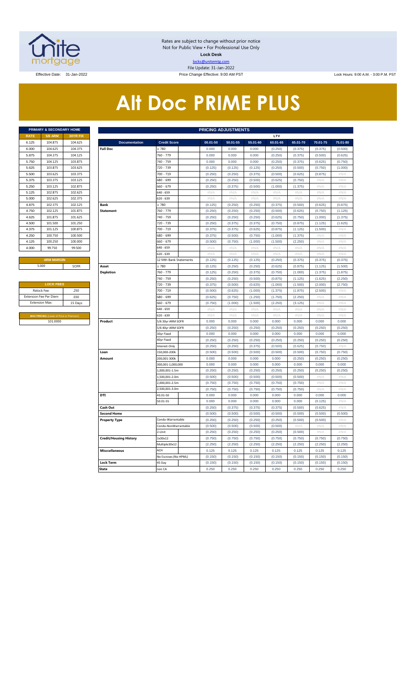

Rates are subject to change without prior notice Not for Public View • For Professional Use Only **Lock Desk** locks@unitemtg.com File Update: 31-Jan-2022

Effective Date: 31-Jan-2022 **Price Change Effective: 9:00 AM PST** Lock Hours: 9:00 A.M. - 3:00 P.M. PST

# **Alt Doc PRIME PLUS**

|             | <b>PRIMARY &amp; SECONDARY HOME</b> |                 |
|-------------|-------------------------------------|-----------------|
| <b>RATE</b> | <b>5/6 ARM</b>                      | <b>30YR FIX</b> |
| 6.125       | 104.875                             | 104.625         |
| 6.000       | 104.625                             | 104.375         |
| 5.875       | 104.375                             | 104.125         |
| 5.750       | 104.125                             | 103.875         |
| 5.625       | 103.875                             | 103.625         |
| 5.500       | 103.625                             | 103.375         |
| 5.375       | 103.375                             | 103.125         |
| 5.250       | 103.125                             | 102.875         |
| 5.125       | 102.875                             | 102.625         |
| 5.000       | 102.625                             | 102.375         |
| 4.875       | 102.375                             | 102.125         |
| 4.750       | 102.125                             | 101.875         |
| 4.625       | 101.875                             | 101.625         |
| 4.500       | 101.500                             | 101.250         |
| 4.375       | 101.125                             | 100.875         |
| 4.250       | 100.750                             | 100.500         |
| 4.125       | 100.250                             | 100,000         |
| 4.000       | 99.750                              | 99.500          |
|             |                                     |                 |

| <b>LOCK FEES</b>                               |         |
|------------------------------------------------|---------|
| Relock Fee:                                    | .250    |
| <b>Extension Fee Per Diem</b>                  | .030    |
| <b>Extension Max:</b>                          | 15 Days |
|                                                |         |
| <b>MAX PRICING (Lower of Price or Premium)</b> |         |
| 101.0000                                       |         |

|             | PRIMARY & SECONDARY HOME                             |          | <b>PRICING ADJUSTMENTS</b>    |                          |                     |                    |                    |                    |                    |                    |                    |  |  |  |
|-------------|------------------------------------------------------|----------|-------------------------------|--------------------------|---------------------|--------------------|--------------------|--------------------|--------------------|--------------------|--------------------|--|--|--|
| <b>RATE</b> | <b>5/6 ARM</b>                                       | 30YR FIX |                               |                          |                     |                    |                    | LTV                |                    |                    |                    |  |  |  |
| 6.125       | 104.875                                              | 104.625  | <b>Documentation</b>          | <b>Credit Score</b>      | 00.01-50            | 50.01-55           | 55.01-60           | 60.01-65           | 65.01-70           | 70.01-75           | 75.01-80           |  |  |  |
| 6.000       | 104.625                                              | 104.375  | <b>Full Doc</b>               | > 780                    | 0.000               | 0.000              | 0.000              | (0.250)            | (0.375)            | (0.375)            | (0.500)            |  |  |  |
| 5.875       | 104.375                                              | 104.125  |                               | 760 - 779                | 0.000               | 0.000              | 0.000              | (0.250)            | (0.375)            | (0.500)            | (0.625)            |  |  |  |
| 5.750       | 104.125                                              | 103.875  |                               | 740 - 759                | 0.000               | 0.000              | 0.000              | (0.250)            | (0.375)            | (0.625)            | (0.750)            |  |  |  |
| 5.625       | 103.875                                              | 103.625  |                               | 720 - 739                | (0.125)             | (0.125)            | (0.125)            | (0.250)            | (0.500)            | (0.750)            | (1.000)            |  |  |  |
| 5.500       | 103.625                                              | 103.375  |                               | 700 - 719                | (0.250)             | (0.250)            | (0.375)            | (0.500)            | (0.625)            | (0.875)            | $\#N/A$            |  |  |  |
| 5.375       | 103.375                                              | 103.125  |                               | 680 - 699                | (0.250)             | (0.250)            | (0.500)            | (0.625)            | (0.750)            | $\#N/F$            | $\#N/\beta$        |  |  |  |
| 5.250       | 103.125                                              | 102.875  |                               | 660 - 679                | (0.250)             | (0.375)            | (0.500)            | (1.000)            | (1.375)            | #N/A               | #N/A               |  |  |  |
| 5.125       | 102.875                                              | 102.625  |                               | 640 - 659                | #N/A                | #N/A               | #N/A               | #N/A               | $\#N/A$            | #N/A               | #N/A               |  |  |  |
| 5.000       | 102.625                                              | 102.375  |                               | 620 - 639                | #N/A                | #N/A               | #N/A               | #N/A               | #N/A               | #N/A               | #N/A               |  |  |  |
| 4.875       | 102.375                                              | 102.125  | Bank                          | $\geq 780$               | (0.125)             | (0.250)            | (0.250)            | (0.375)            | (0.500)            | (0.625)            | (0.875)            |  |  |  |
| 4.750       | 102.125                                              | 101.875  | <b>Statement</b>              | 760 - 779                | (0.250)             | (0.250)            | (0.250)            | (0.500)            | (0.625)            | (0.750)            | (1.125)            |  |  |  |
| 4.625       | 101.875                                              | 101.625  |                               | 740 - 759                | (0.250)             | (0.250)            | (0.250)            | (0.625)            | (0.750)            | (1.000)            | (1.375)            |  |  |  |
| 4.500       | 101.500                                              | 101.250  |                               | 720 - 739                | (0.250)             | (0.375)            | (0.375)            | (0.750)            | (0.875)            | (1.125)            | (1.625)            |  |  |  |
| 4.375       | 101.125                                              | 100.875  |                               | 700 - 719                | (0.375)             | (0.375)            | (0.625)            | (0.875)            | (1.125)            | (1.500)            | $\#N/A$            |  |  |  |
| 4.250       | 100.750                                              | 100.500  |                               | 680 - 699                | (0.375)             | (0.500)            | (0.750)            | (1.000)            | (1.375)            | $\#N/A$            | $\#N/A$            |  |  |  |
| 4.125       | 100.250                                              | 100.000  |                               | 660 - 679                | (0.500)             | (0.750)            | (1.000)            | (1.500)            | (2.250)            | #N/A               | $\#N/A$            |  |  |  |
| 4.000       | 99.750                                               | 99.500   |                               | 640 - 659                | #N/A                | #N/A               | $\#N/A$            | #N/A               | $\#N/A$            | #N/A               | #N/A               |  |  |  |
|             |                                                      |          |                               | 620 - 639                | #N/A                | #N/A               | # $N/A$            | #N/A               | #N/A               | # $N/A$            | #N/A               |  |  |  |
|             | <b>ARM MARGIN</b>                                    |          |                               | 12 Mth Bank Statements   | (0.125)             | (0.125)            | (0.125)            | (0.250)            | (0.375)            | (0.375)            | (0.375)            |  |  |  |
|             | 5.000                                                | SOFR     | Asset                         | $\geq 780$               | (0.125)             | (0.250)            | (0.250)            | (0.625)            | (0.875)            | (1.125)            | (1.500)            |  |  |  |
|             |                                                      |          | <b>Depletion</b>              | 760 - 779                | (0.125)             | (0.250)            | (0.375)            | (0.750)            | (1.000)            | (1.375)            | (1.875)            |  |  |  |
|             |                                                      |          |                               | 740 - 759<br>720 - 739   | (0.250)             | (0.250)            | (0.500)            | (0.875)            | (1.125)            | (1.625)            | (2.250)            |  |  |  |
|             | <b>LOCK FEES</b>                                     |          |                               |                          | (0.375)             | (0.500)            | (0.625)            | (1.000)            | (1.500)            | (2.000)            | (2.750)            |  |  |  |
|             | Relock Fee:<br>.250<br>xtension Fee Per Diem<br>.030 |          |                               | 700 - 719<br>680 - 699   | (0.500)<br>(0.625)  | (0.625)<br>(0.750) | (1.000)<br>(1.250) | (1.375)<br>(1.750) | (1.875)<br>(2.250) | (2.500)<br>$\#N/A$ | #N//<br>#N/A       |  |  |  |
|             | <b>Extension Max:</b>                                | 15 Days  |                               | 660 - 679                | (0.750)             | (1.000)            | (1.500)            | (2.250)            | (3.125)            | #N/A               | #N/A               |  |  |  |
|             |                                                      |          |                               | 640 - 659                | $\#\mathbb{N}/\ell$ | # $N/4$            | # $N/A$            | #N/A               | #N/A               | # $N/A$            | #N/A               |  |  |  |
|             | MAX PRICING (Lower of Price or Premium               |          |                               | 620 - 639                | $\#N/A$             | #N/A               | $\#N/A$            | #N/A               | $\#N/A$            | #N/A               | $\#N/A$            |  |  |  |
|             | 101.0000                                             |          | Product                       | 5/6 30yr ARM SOFR        | 0.000               | 0.000              | 0.000              | 0.000              | 0.000              | 0.000              | 0.000              |  |  |  |
|             |                                                      |          |                               | 5/6 40yr ARM SOFR        | (0.250)             | (0.250)            | (0.250)            | (0.250)            | (0.250)            | (0.250)            | (0.250)            |  |  |  |
|             |                                                      |          |                               | 30yr Fixed               | 0.000               | 0.000              | 0.000              | 0.000              | 0.000              | 0.000              | 0.000              |  |  |  |
|             |                                                      |          |                               | 40yr Fixed               | (0.250)             | (0.250)            | (0.250)            | (0.250)            | (0.250)            | (0.250)            | (0.250)            |  |  |  |
|             |                                                      |          |                               | Interest-Only            | (0.250)             | (0.250)            | (0.375)            | (0.500)            | (0.625)            | (0.750)            | $\#N/\beta$        |  |  |  |
|             |                                                      |          | Loan                          | 150,000-200k             | (0.500)             | (0.500)            | (0.500)            | (0.500)            | (0.500)            | (0.750)            | (0.750)            |  |  |  |
|             |                                                      |          | Amount                        | 200,001-300k             | 0.000               | 0.000              | 0.000              | 0.000              | (0.250)            | (0.250)            | (0.250)            |  |  |  |
|             |                                                      |          |                               | 300,001-1,000,000        | 0.000               | 0.000              | 0.000              | 0.000              | 0.000              | 0.000              | 0.000              |  |  |  |
|             |                                                      |          |                               | 1,000,001-1.5m           | (0.250)             | (0.250)            | (0.250)            | (0.250)            | (0.250)            | (0.250)            | (0.250)            |  |  |  |
|             |                                                      |          |                               | 1,500,001-2.0m           | (0.500)             | (0.500)            | (0.500)            | (0.500)            | (0.500)            | #N/A               | #N/A               |  |  |  |
|             |                                                      |          |                               | 2,000,001-2.5m           | (0.750)             | (0.750)            | (0.750)            | (0.750)            | (0.750)            | #N/A               | $\#N/A$            |  |  |  |
|             |                                                      |          |                               | 2,500,001-3.0m           | (0.750)             | (0.750)            | (0.750)            | (0.750)            | (0.750)            | #N/A               | #N/A               |  |  |  |
|             |                                                      |          | DTI                           | 43.01-50                 | 0.000               | 0.000              | 0.000              | 0.000              | 0.000              | 0.000              | 0.000              |  |  |  |
|             |                                                      |          |                               | 50.01-55                 | 0.000               | 0.000              | 0.000              | 0.000              | 0.000              | (0.125)            | $\#N/A$            |  |  |  |
|             |                                                      |          | Cash Out                      |                          | (0.250)             | (0.375)            | (0.375)            | (0.375)            | (0.500)            | (0.625)            | $\#N/\beta$        |  |  |  |
|             |                                                      |          | <b>Second Home</b>            |                          | (0.500)             | (0.500)            | (0.500)            | (0.500)            | (0.500)            | (0.500)            | (0.500)            |  |  |  |
|             |                                                      |          | <b>Property Type</b>          | Condo-Warrantable        | (0.250)             | (0.250)            | (0.250)            | (0.250)            | (0.500)            | (0.500)            | #N/A               |  |  |  |
|             |                                                      |          |                               | Condo-NonWarrantable     | (0.500)             | (0.500)            | (0.500)            | (0.500)            | $\#N/A$            | #N/A               | #N/A               |  |  |  |
|             |                                                      |          |                               | 2-Unit                   | (0.250)             | (0.250)            | (0.250)            | (0.250)            | (0.500)            | #N/A               | #N/A               |  |  |  |
|             |                                                      |          | <b>Credit/Housing History</b> | 1x30x12<br>Multiple30x12 | (0.750)<br>(2.250)  | (0.750)<br>(2.250) | (0.750)<br>(2.250) | (0.750)<br>(2.250) | (0.750)            | (0.750)<br>(2.250) | (0.750)<br>(2.250) |  |  |  |
|             |                                                      |          | <b>Misccellaneous</b>         | ACH                      | 0.125               | 0.125              | 0.125              | 0.125              | (2.250)<br>0.125   | 0.125              | 0.125              |  |  |  |
|             |                                                      |          |                               | No Escrows (No HPML)     | (0.150)             | (0.150)            | (0.150)            | (0.150)            | (0.150)            | (0.150)            | (0.150)            |  |  |  |
|             |                                                      |          | <b>Lock Term</b>              | 45 Day                   | (0.150)             | (0.150)            | (0.150)            | (0.150)            | (0.150)            | (0.150)            | (0.150)            |  |  |  |
|             |                                                      |          | <b>State</b>                  | non CA                   | 0.250               | 0.250              | 0.250              | 0.250              | 0.250              | 0.250              | 0.250              |  |  |  |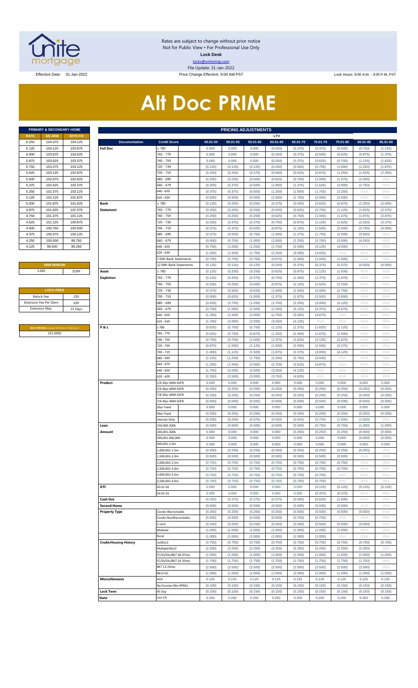

Rates are subject to change without prior notice Not for Public View • For Professional Use Only **Lock Desk** locks@unitemtg.com File Update: 31-Jan-2022

Effective Date: 31-Jan-2022 **Price Change Effective: 9:00 AM PST** Lock Hours: 9:00 A.M. - 3:00 P.M. PST

# **Alt Doc PRIME**

|             | <b>PRIMARY &amp; SECONDARY HOME</b> |                 |
|-------------|-------------------------------------|-----------------|
| <b>RATE</b> | <b>5/6 ARM</b>                      | <b>30YR FIX</b> |
| 6.250       | 104.375                             | 104.125         |
| 6.125       | 104.125                             | 103.875         |
| 6.000       | 103.875                             | 103.625         |
| 5.875       | 103.625                             | 103.375         |
| 5.750       | 103.375                             | 103.125         |
| 5.625       | 103.125                             | 102.875         |
| 5.500       | 102.875                             | 102.625         |
| 5.375       | 102.625                             | 102.375         |
| 5.250       | 102.375                             | 102.125         |
| 5.125       | 102.125                             | 101.875         |
| 5.000       | 101.875                             | 101.625         |
| 4.875       | 101.625                             | 101.375         |
| 4.750       | 101.375                             | 101.125         |
| 4.625       | 101.125                             | 100.875         |
| 4.500       | 100.750                             | 100.500         |
| 4.375       | 100.375                             | 100.125         |
| 4.250       | 100.000                             | 99.750          |
| 4.125       | 99.500                              | 99.250          |

### **ARM MARGIN** 5.000

| <b>LOCK FEES</b>              |         |
|-------------------------------|---------|
| Relock Fee:                   | .250    |
| <b>Extension Fee Per Diem</b> | .030    |
| <b>Extension Max:</b>         | 15 Days |
|                               |         |

**MAX PRICING** (Lower of Price or Premium) 101.0000

|                       | PRIMARY & SECONDARY HOME                |                    |                               |                                |                    | <b>PRICING ADJUSTMENTS</b> |                    |                    |                    |                    |                    |                    |              |
|-----------------------|-----------------------------------------|--------------------|-------------------------------|--------------------------------|--------------------|----------------------------|--------------------|--------------------|--------------------|--------------------|--------------------|--------------------|--------------|
| RATE                  | <b>5/6 ARM</b>                          | 30YR FIX           |                               |                                |                    |                            |                    | LTV                |                    |                    |                    |                    |              |
| 6.250                 | 104.375                                 | 104.125            | <b>Documentation</b>          | <b>Credit Score</b>            | 00.01-50           | 50.01-55                   | 55.01-60           | 60.01-65           | 65.01-70           | 70.01-75           | 75.01-80           | 80.01-85           | 85.01-90     |
| 6.125                 | 104.125                                 | 103.875            | <b>Full Doc</b>               | 2780                           | 0.000              | 0.000                      | 0.000              | (0.250)            | (0.375)            | (0.375)            | (0.500)            | (0.750)            | (1.125)      |
| 6.000                 | 103.875                                 | 103.625            |                               | 760 - 779                      | 0.000              | 0.000                      | 0.000              | (0.250)            | (0.375)            | (0.500)            | (0.625)            | (0.875)            | (1.375)      |
| 5.875                 | 103.625                                 | 103.375            |                               | 740 - 759                      | 0.000              | 0.000                      | 0.000              | (0.250)            | (0.375)            | (0.625)            | (0.750)            | (1.125)            | (1.625)      |
| 5.750                 | 103.375                                 | 103.125            |                               | 720 - 739                      | (0.125)            | (0.125)                    | (0.125)            | (0.250)            | (0.500)            | (0.750)            | (1.000)            | (1.250)            | (1.875)      |
| 5.625                 | 103.125                                 | 102.875            |                               | 700 - 719                      | (0.250)            | (0.250)                    | (0.375)            | (0.500)            | (0.625)            | (0.875)            | (1.250)            | (1.625)            | (2.250)      |
| 5.500                 | 102.875                                 | 102.625            |                               | 680 - 699                      | (0.250)            | (0.250)                    | (0.500)            | (0.625)            | (0.750)            | (1.000)            | (1.375)            | (2.000)            | #N/A         |
| 5.375                 | 102.625                                 | 102.375            |                               | 660 - 679<br>$640 - 659$       | (0.250)            | (0.375)                    | (0.500)            | (1.000)            | (1.375)            | (1.625)            | (2.000)            | (2.750)            | #N/A         |
| 5.250                 | 102.375                                 | 102.125            |                               | $620 - 639$                    | (0.375)            | (0.375)                    | (0.500)            | (1.250)            | (1.500)            | (1.750)            | (2.250)            | #N/A               | #N/A         |
| 5.125                 | 102.125                                 | 101.875            | <b>Bank</b>                   |                                | (0.500)            | (0.500)                    | (0.500)            | (1.500)            | (1.750)            | (2.000)            | (2.500)            | #N/A               | #N/A         |
| 5.000                 | 101.875                                 | 101.625            |                               | 2780                           | (0.125)            | (0.250)                    | (0.250)            | (0.375)            | (0.500)            | (0.625)            | (0.875)            | (1.250)            | (2.000)      |
| 4.875                 | 101.625                                 | 101.375            | <b>Statement</b>              | 760 - 779                      | (0.250)            | (0.250)                    | (0.250)            | (0.500)            | (0.625)            | (0.750)            | (1.125)            | (1.625)            | (2.375)      |
| 4.750                 | 101.375                                 | 101.125            |                               | 740 - 759                      | (0.250)            | (0.250)                    | (0.250)            | (0.625)            | (0.750)            | (1.000)            | (1.375)            | (1.875)            | (2.875)      |
| 4.625                 | 101.125                                 | 100.875            |                               | 720 - 739<br>700 - 719         | (0.250)            | (0.375)                    | (0.375)            | (0.750)            | (0.875)            | (1.125)            | (1.625)            | (2.250)            | (3.375)      |
| 4.500                 | 100.750<br>100.375                      | 100.500<br>100.125 |                               | 680 - 699                      | (0.375)            | (0.375)                    | (0.625)            | (0.875)<br>(1.000) | (1.125)            | (1.500)            | (2.000)            | (2.750)            | (4.000)      |
| 4.375<br>4.250        | 100.000                                 | 99.750             |                               | 660 - 679                      | (0.375)<br>(0.500) | (0.500)<br>(0.750)         | (0.750)<br>(1.000) | (1.500)            | (1.375)<br>(2.250) | (1.750)<br>(2.750) | (2.500)<br>(3.500) | (3.500)<br>(4.250) | #N/A<br>#N/A |
| 4.125                 | 99.500                                  | 99.250             |                               | 640 - 659                      |                    | (1.000)                    |                    |                    |                    |                    | (4.000)            | #N/A               |              |
|                       |                                         |                    |                               | $620 - 639$                    | (0.750)            |                            | (1.250)            | (1.750)<br>(2.250) | (2.500)<br>(3.000) | (3.125)<br>(3.625) | #N/A               | #N/A               | #N/A<br>#N/A |
|                       |                                         |                    |                               |                                | (1.250)            | (1.500)                    | (1.750)            |                    |                    | (1.000)            |                    | #N/A               | #N/A         |
|                       | <b>ARM MARGIN</b>                       |                    |                               | 3 Mth Bank Statements          | (0.750)            | (0.750)                    | (0.750)            | (0.875)            | (1.000)            |                    | (1.000)            |                    |              |
|                       | 5.000                                   | SOFR               | Asset                         | 12 Mth Bank Statements<br>2780 | (0.125)            | (0.125)<br>(0.250)         | (0.125)<br>(0.250) | (0.250)            | (0.375)            | (0.375)            | (0.375)            | (0.500)<br>#N/A    | (0.500)      |
|                       |                                         |                    |                               |                                | (0.125)            |                            |                    | (0.625)            | (0.875)            | (1.125)            | (1.500)            |                    | #N/A         |
|                       |                                         |                    | <b>Depletion</b>              | 760 - 779                      | (0.125)            | (0.250)                    | (0.375)            | (0.750)            | (1.000)            | (1.375)            | (1.875)            | #N/A               | #N/A         |
|                       |                                         |                    |                               | 740 - 759                      | (0.250)            | (0.250)                    | (0.500)            | (0.875)            | (1.125)            | (1.625)            | (2.250)            | #N/A               | #N/A         |
|                       | <b>LOCK FEES</b>                        |                    |                               | 720 - 739                      | (0.375)            | (0.500)                    | (0.625)            | (1.000)            | (1.500)            | (2.000)            | (2.750)            | #N/A               | #N/A         |
| Relock Fee:           |                                         | .250               |                               | 700 - 719                      | (0.500)            | (0.625)                    | (1.000)            | (1.375)            | (1.875)            | (2.500)            | (3.500)            | #N/A               | #N/A         |
|                       | xtension Fee Per Diem                   | .030               |                               | 680 - 699                      | (0.625)            | (0.750)                    | (1.250)            | (1.750)            | (2.250)            | (3.000)            | (4.125)            | #N/A               | #N/A         |
| <b>Extension Max:</b> |                                         | 15 Days            |                               | $660 - 679$                    | (0.750)            | (1.000)                    | (1.500)            | (2.250)            | (3.125)            | (4.375)            | (4.875)            | #N/A               | #N/A         |
|                       |                                         |                    |                               | 640 - 659                      | (1.250)            | (1.500)                    | (2.000)            | (2.750)            | (3.625)            | (4.875)            | #N/A               | #N/A               | #N/A         |
|                       |                                         |                    |                               | $620 - 639$                    | (1.750)            | (2.000)                    | (2.500)            | (3.250)            | (4.125)            | #N/A               | #N/A               | #N/A               | #N/A         |
|                       | MAX PRICING (Lower of Price or Premium) |                    | <b>P&amp;L</b>                | 2780                           | (0.625)            | (0.750)                    | (0.750)            | (1.125)            | (1.375)            | (1.625)            | (2.125)            | #N/A               | #N/A         |
|                       | 101.0000                                |                    |                               | 760 - 779                      | (0.625)            | (0.750)                    | (0.875)            | (1.250)            | (1.500)            | (1.875)            | (2.500)            | #N/A               | #N/A         |
|                       |                                         |                    |                               | 740 - 759                      | (0.750)            | (0.750)                    | (1.000)            | (1.375)            | (1.625)            | (2.125)            | (2.875)            | #N/A               | #N/A         |
|                       |                                         |                    |                               | 720 - 739                      | (0.875)            | (1.000)                    | (1.125)            | (1.500)            | (2.000)            | (2.500)            | (3.375)            | #N/A               | #N/A         |
|                       |                                         |                    |                               | 700 - 719                      | (1.000)            | (1.125)                    | (1.500)            | (1.875)            | (2.375)            | (3.000)            | (4.125)            | #N/A               | #N/A         |
|                       |                                         |                    |                               | 680 - 699                      | (1.125)            | (1.250)                    | (1.750)            | (2.250)            | (2.750)            | (3.500)            | #N/A               | #N/A               | #N/A         |
|                       |                                         |                    |                               | $660 - 679$                    | (1.250)            | (1.500)                    | (2.000)            | (2.750)            | (3.625)            | (4.875)            | #N/A               | #N/A               | #N/A         |
|                       |                                         |                    |                               | $640 - 659$                    | (1.750)            | (2.000)                    | (2.500)            | (3.250)            | (4.125)            | #N/A               | #N/A               | #N/A               | #N/A         |
|                       |                                         |                    |                               | $620 - 639$                    | (2.250)            | (2.500)                    | (3.000)            | (3.750)            | (4.625)            | #N/A               | #N/A               | #N/A               | #N/A         |
|                       |                                         |                    | Product                       | 5/6 30yr ARM SOFR              | 0.000              | 0.000                      | 0.000              | 0.000              | 0.000              | 0.000              | 0.000              | 0.000              | 0.000        |
|                       |                                         |                    |                               | 5/6 40yr ARM SOFR              | (0.250)            | (0.250)                    | (0.250)            | (0.250)            | (0.250)            | (0.250)            | (0.250)            | (0.250)            | (0.250)      |
|                       |                                         |                    |                               | 7/6 30yr ARM SOFR              | (0.250)            | (0.250)                    | (0.250)            | (0.250)            | (0.250)            | (0.250)            | (0.250)            | (0.250)            | (0.250)      |
|                       |                                         |                    |                               | 7/6 40yr ARM SOFR              | (0.500)            | (0.500)                    | (0.500)            | (0.500)            | (0.500)            | (0.500)            | (0.500)            | (0.500)            | (0.500)      |
|                       |                                         |                    |                               | 30yr Fixed                     | 0.000              | 0.000                      | 0.000              | 0.000              | 0.000              | 0.000              | 0.000              | 0.000              | 0.000        |
|                       |                                         |                    |                               | 40yr Fixed                     | (0.250)            | (0.250)                    | (0.250)            | (0.250)            | (0.250)            | (0.250)            | (0.250)            | (0.250)            | (0.250)      |
|                       |                                         |                    |                               | Interest-Only                  | (0.250)            | (0.250)                    | (0.375)            | (0.500)            | (0.625)            | (0.750)            | (1.000)            | (1.500)            | #N/A         |
|                       |                                         |                    | Loan                          | 150.000-200k                   | (0.500)            | (0.500)                    | (0.500)            | (0.500)            | (0.500)            | (0.750)            | (0.750)            | (1.000)            | (1.000)      |
|                       |                                         |                    | Amount                        | 200,001-300k                   | 0.000              | 0.000                      | 0.000              | 0.000              | (0.250)            | (0.250)            | (0.250)            | (0.500)            | (0.500)      |
|                       |                                         |                    |                               | 300,001-400,000                | 0.000              | 0.000                      | 0.000              | 0.000              | 0.000              | 0.000              | 0.000              | (0.500)            | (0.500)      |
|                       |                                         |                    |                               | 400,001-1.0m                   | 0.000              | 0.000                      | 0.000              | 0.000              | 0.000              | 0.000              | 0.000              | 0.000              | 0.000        |
|                       |                                         |                    |                               | $.000.001 - 1.5m$              | (0.250)            | (0.250)                    | (0.250)            | (0.250)            | (0.250)            | (0.250)            | (0.250)            | (0.250)            | #N/A         |
|                       |                                         |                    |                               | .500.001-2.0m                  | (0.500)            | (0.500)                    | (0.500)            | (0.500)            | (0.500)            | (0.500)            | (0.500)            | #N/A               | #N/A         |
|                       |                                         |                    |                               | 2,000,001-2.5m                 | (0.750)            | (0.750)                    | (0.750)            | (0.750)            | (0.750)            | (0.750)            | (0.750)            | #N/A               | #N/A         |
|                       |                                         |                    |                               | 2.500.001-3.0m                 | (0.750)            | (0.750)                    | (0.750)            | (0.750)            | (0.750)            | (0.750)            | (0.750)            | #N/A               | #N/A         |
|                       |                                         |                    |                               | 000.001-3.5m                   | (0.750)            | (0.750)                    | (0.750)            | (0.750)            | (0.750)            | (0.750)            | #N/A               | #N/A               | #N/A         |
|                       |                                         |                    |                               | 500,001-4.0m                   | (0.750)            | (0.750)                    | (0.750)            | (0.750)            | (0.750)            | (0.750)            | #N/A               | $\#N/A$            | #N/A         |
|                       |                                         |                    | DTI                           | 43.01-50                       | 0.000              | 0.000                      | 0.000              | 0.000              | 0.000              | (0.125)            | (0.125)            | (0.125)            | (0.125)      |
|                       |                                         |                    |                               | 50.01-55                       | 0.000              | 0.000                      | 0.000              | 0.000              | 0.000              | (0.375)            | (0.375)            | #N/A               | #N/A         |
|                       |                                         |                    | Cash Out                      |                                | (0.250)            | (0.375)                    | (0.375)            | (0.375)            | (0.500)            | (0.625)            | (1.000)            | #N/A               | #N/A         |
|                       |                                         |                    | <b>Second Home</b>            |                                | (0.500)            | (0.500)                    | (0.500)            | (0.500)            | (0.500)            | (0.500)            | (0.500)            | #N/A               | #N/A         |
|                       |                                         |                    | <b>Property Type</b>          | Condo-Warrantable              | (0.250)            | (0.250)                    | (0.250)            | (0.250)            | (0.500)            | (0.500)            | (0.500)            | (0.500)            | #N/A         |
|                       |                                         |                    |                               | Condo-NonWarrantable           | (0.500)            | (0.500)                    | (0.500)            | (0.500)            | (0.750)            | (0.750)            | #N/A               | #N/A               | #N/A         |
|                       |                                         |                    |                               | 2-Unit                         | (0.250)            | (0.250)                    | (0.250)            | (0.250)            | (0.500)            | (0.500)            | (0.500)            | (0.500)            | #N/A         |
|                       |                                         |                    |                               | Modular                        | (1.000)            | (1.000)                    | (1.000)            | (1.000)            | (1.000)            | (1.000)            | (1.000)            | #N/A               | #N/A         |
|                       |                                         |                    |                               | Rural                          | (1.000)            | (1.000)                    | (1.000)            | (1.000)            | (1.000)            | (1.000)            | #N/A               | #N/A               | #N/A         |
|                       |                                         |                    | <b>Credit/Housing History</b> | 1x30x12                        | (0.750)            | (0.750)                    | (0.750)            | (0.750)            | (0.750)            | (0.750)            | (0.750)            | (0.750)            | (0.750)      |
|                       |                                         |                    |                               | Multiple30x12                  | (2.250)            | (2.250)                    | (2.250)            | (2.250)            | (2.250)            | (2.250)            | (2.250)            | (2.250)            | #N/A         |
|                       |                                         |                    |                               | FC/SS/DIL/BK7 36-47mo          | (1.000)            | (1.000)                    | (1.000)            | (1.000)            | (1.000)            | (1.000)            | (1.000)            | (1.000)            | (1.000)      |
|                       |                                         |                    |                               | FC/SS/DIL/BK7 24-35mo          | (1.750)            | (1.750)                    | (1.750)            | (1.750)            | (1.750)            | (1.750)            | (1.750)            | (1.750)            | #N/A         |
|                       |                                         |                    |                               | BK7 12-23mo                    | (2.500)            | (2.500)                    | (2.500)            | (2.500)            | (2.500)            | (2.500)            | (2.500)            | (2.500)            | #N/A         |
|                       |                                         |                    |                               | BK13 DC                        | (1.000)            | (1.000)                    | (1.000)            | (1.000)            | (1.000)            | (1.000)            | (1.000)            | (1.000)            | (1.000)      |
|                       |                                         |                    | <b>Misccellaneous</b>         | ACH                            | 0.125              | 0.125                      | 0.125              | 0.125              | 0.125              | 0.125              | 0.125              | 0.125              | 0.125        |
|                       |                                         |                    |                               | No Escrows (No HPML)           | (0.150)            | (0.150)                    | (0.150)            | (0.150)            | (0.150)            | (0.150)            | (0.150)            | (0.150)            | (0.150)      |
|                       |                                         |                    | <b>Lock Term</b>              | 45 Day                         | (0.150)            | (0.150)                    | (0.150)            | (0.150)            | (0.150)            | (0.150)            | (0.150)            | (0.150)            | (0.150)      |
|                       |                                         |                    | State                         | on CA                          | 0.250              | 0.250                      | 0.250              | 0.250              | 0.250              | 0.250              | 0.250              | 0.250              | 0.250        |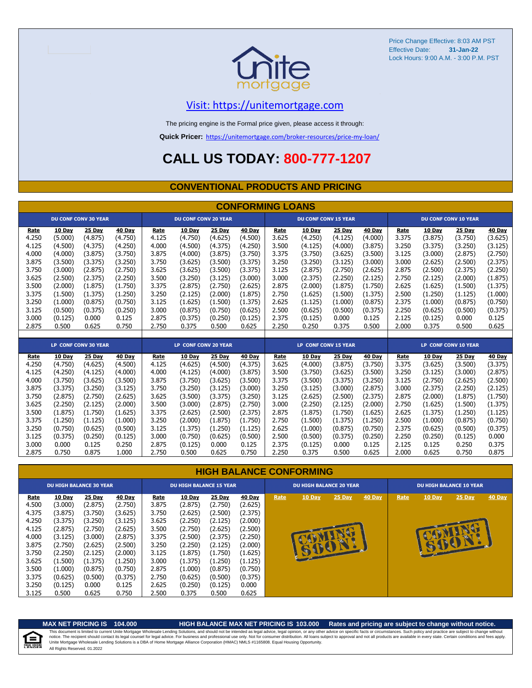

## [V](https://unitemortgage.com/)isit: https://unitemortgage.com

The pricing engine is the Formal price given, please access it through:

**Quick Pricer:** [https://un](https://unitemortgage.com/broker-resources/price-my-loan/)itemortgage.com/broker-resources/price-my-loan/

## **CALL US TODAY: 800-777-1207**

## **CONVENTIONAL PRODUCTS AND PRICING**

|       | <b>CONFORMING LOANS</b> |                             |         |                             |                             |         |                             |       |                             |         |         |       |                             |                             |         |
|-------|-------------------------|-----------------------------|---------|-----------------------------|-----------------------------|---------|-----------------------------|-------|-----------------------------|---------|---------|-------|-----------------------------|-----------------------------|---------|
|       |                         | <b>DU CONF CONV 30 YEAR</b> |         |                             | <b>DU CONF CONV 20 YEAR</b> |         |                             |       | <b>DU CONF CONV 15 YEAR</b> |         |         |       |                             | <b>DU CONF CONV 10 YEAR</b> |         |
| Rate  | 10 Day                  | 25 Day                      | 40 Day  | Rate                        | 10 Day                      | 25 Day  | 40 Day                      | Rate  | 10 Day                      | 25 Day  | 40 Day  | Rate  | 10 Day                      | 25 Day                      | 40 Day  |
| 4.250 | (5.000)                 | (4.875)                     | (4.750) | 4.125                       | (4.750)                     | (4.625) | (4.500)                     | 3.625 | (4.250)                     | (4.125) | (4.000) | 3.375 | (3.875)                     | (3.750)                     | (3.625) |
| 4.125 | (4.500)                 | (4.375)                     | (4.250) | 4.000                       | (4.500)                     | (4.375) | (4.250)                     | 3.500 | (4.125)                     | (4.000) | (3.875) | 3.250 | (3.375)                     | (3.250)                     | (3.125) |
| 4.000 | (4.000)                 | (3.875)                     | (3.750) | 3.875                       | (4.000)                     | (3.875) | (3.750)                     | 3.375 | (3.750)                     | (3.625) | (3.500) | 3.125 | (3.000)                     | (2.875)                     | (2.750) |
| 3.875 | (3.500)                 | (3.375)                     | (3.250) | 3.750                       | (3.625)                     | (3.500) | (3.375)                     | 3.250 | (3.250)                     | (3.125) | (3.000) | 3.000 | (2.625)                     | (2.500)                     | (2.375) |
| 3.750 | (3.000)                 | (2.875)                     | (2.750) | 3.625                       | (3.625)                     | (3.500) | (3.375)                     | 3.125 | (2.875)                     | (2.750) | (2.625) | 2.875 | (2.500)                     | (2.375)                     | (2.250) |
| 3.625 | (2.500)                 | (2.375)                     | (2.250) | 3.500                       | (3.250)                     | (3.125) | (3.000)                     | 3.000 | (2.375)                     | (2.250) | (2.125) | 2.750 | (2.125)                     | (2.000)                     | (1.875) |
| 3.500 | (2.000)                 | (1.875)                     | (1.750) | 3.375                       | (2.875)                     | (2.750) | (2.625)                     | 2.875 | (2.000)                     | (1.875) | (1.750) | 2.625 | (1.625)                     | (1.500)                     | (1.375) |
| 3.375 | (1.500)                 | (1.375)                     | (1.250) | 3.250                       | (2.125)                     | (2.000) | (1.875)                     | 2.750 | (1.625)                     | (1.500) | (1.375) | 2.500 | (1.250)                     | (1.125)                     | (1.000) |
| 3.250 | (1.000)                 | (0.875)                     | (0.750) | 3.125                       | (1.625)                     | (1.500) | (1.375)                     | 2.625 | (1.125)                     | (1.000) | (0.875) | 2.375 | (1.000)                     | (0.875)                     | (0.750) |
| 3.125 | (0.500)                 | (0.375)                     | (0.250) | 3.000                       | (0.875)                     | (0.750) | (0.625)                     | 2.500 | (0.625)                     | (0.500) | (0.375) | 2.250 | (0.625)                     | (0.500)                     | (0.375) |
| 3.000 | (0.125)                 | 0.000                       | 0.125   | 2.875                       | (0.375)                     | (0.250) | (0.125)                     | 2.375 | (0.125)                     | 0.000   | 0.125   | 2.125 | (0.125)                     | 0.000                       | 0.125   |
| 2.875 | 0.500                   | 0.625                       | 0.750   | 2.750                       | 0.375                       | 0.500   | 0.625                       | 2.250 | 0.250                       | 0.375   | 0.500   | 2.000 | 0.375                       | 0.500                       | 0.625   |
|       |                         |                             |         |                             |                             |         |                             |       |                             |         |         |       |                             |                             |         |
|       |                         | LP CONF CONV 30 YEAR        |         | <b>LP CONF CONV 20 YEAR</b> |                             |         | <b>LP CONF CONV 15 YEAR</b> |       |                             |         |         |       | <b>LP CONF CONV 10 YEAR</b> |                             |         |
| Rate  | 10 Day                  | 25 Day                      | 40 Day  | Rate                        | 10 Day                      | 25 Day  | 40 Day                      | Rate  | 10 Day                      | 25 Day  | 40 Day  | Rate  | 10 Day                      | 25 Day                      | 40 Day  |
| 4.250 | (4.750)                 | (4.625)                     | (4.500) | 4.125                       | (4.625)                     | (4.500) | (4.375)                     | 3.625 | (4.000)                     | (3.875) | (3.750) | 3.375 | (3.625)                     | (3.500)                     | (3.375) |
| 4.125 | (4.250)                 | (4.125)                     | (4.000) | 4.000                       | (4.125)                     | (4.000) | (3.875)                     | 3.500 | (3.750)                     | (3.625) | (3.500) | 3.250 | (3.125)                     | (3.000)                     | (2.875) |
| 4.000 | (3.750)                 | (3.625)                     | (3.500) | 3.875                       | (3.750)                     | (3.625) | (3.500)                     | 3.375 | (3.500)                     | (3.375) | (3.250) | 3.125 | (2.750)                     | (2.625)                     | (2.500) |
| 3.875 | (3.375)                 | (3.250)                     | (3.125) | 3.750                       | (3.250)                     | (3.125) | (3.000)                     | 3.250 | (3.125)                     | (3.000) | (2.875) | 3.000 | (2.375)                     | (2.250)                     | (2.125) |
| 3.750 | (2.875)                 | (2.750)                     | (2.625) | 3.625                       | (3.500)                     | (3.375) | (3.250)                     | 3.125 | (2.625)                     | (2.500) | (2.375) | 2.875 | (2.000)                     | (1.875)                     | (1.750) |
| 3.625 | (2.250)                 | (2.125)                     | (2.000) | 3.500                       | (3.000)                     | (2.875) | (2.750)                     | 3.000 | (2.250)                     | (2.125) | (2.000) | 2.750 | (1.625)                     | (1.500)                     | (1.375) |
| 3.500 | (1.875)                 | (1.750)                     | (1.625) | 3.375                       | (2.625)                     | (2.500) | (2.375)                     | 2.875 | (1.875)                     | (1.750) | (1.625) | 2.625 | (1.375)                     | (1.250)                     | (1.125) |
| 3.375 | (1.250)                 | (1.125)                     | (1.000) | 3.250                       | (2.000)                     | (1.875) | (1.750)                     | 2.750 | (1.500)                     | (1.375) | (1.250) | 2.500 | (1.000)                     | (0.875)                     | (0.750) |
| 3.250 | (0.750)                 | (0.625)                     | (0.500) | 3.125                       | (1.375)                     | (1.250) | (1.125)                     | 2.625 | (1.000)                     | (0.875) | (0.750) | 2.375 | (0.625)                     | (0.500)                     | (0.375) |
| 3.125 | (0.375)                 | (0.250)                     | (0.125) | 3.000                       | (0.750)                     | (0.625) | (0.500)                     | 2.500 | (0.500)                     | (0.375) | (0.250) | 2.250 | (0.250)                     | (0.125)                     | 0.000   |
| 3.000 | 0.000                   | 0.125                       | 0.250   | 2.875                       | (0.125)                     | 0.000   | 0.125                       | 2.375 | (0.125)                     | 0.000   | 0.125   | 2.125 | 0.125                       | 0.250                       | 0.375   |
| 2.875 | 0.750                   | 0.875                       | 1.000   | 2.750                       | 0.500                       | 0.625   | 0.750                       | 2.250 | 0.375                       | 0.500   | 0.625   | 2.000 | 0.625                       | 0.750                       | 0.875   |

### **HIGH BALANCE CONFORMING**

|             | <b>DU HIGH BALANCE 30 YEAR</b> |               |         | <b>DU HIGH BALANCE 15 YEAR</b> |               |               |               |      | <b>DU HIGH BALANCE 20 YEAR</b> |          |               | <b>DU HIGH BALANCE 10 YEAR</b> |               |               |               |  |  |
|-------------|--------------------------------|---------------|---------|--------------------------------|---------------|---------------|---------------|------|--------------------------------|----------|---------------|--------------------------------|---------------|---------------|---------------|--|--|
| <b>Rate</b> | <b>10 Day</b>                  | <b>25 Day</b> | 40 Day  | Rate                           | <b>10 Day</b> | <b>25 Day</b> | <b>40 Day</b> | Rate | <b>10 Day</b>                  | $25$ Day | <b>40 Day</b> | Rate                           | <b>10 Day</b> | <b>25 Day</b> | <b>40 Day</b> |  |  |
| 4.500       | (3.000)                        | (2.875)       | (2.750) | 3.875                          | (2.875)       | (2.750)       | (2.625)       |      |                                |          |               |                                |               |               |               |  |  |
| 4.375       | (3.875)                        | (3.750)       | (3.625) | 3.750                          | (2.625)       | (2.500)       | (2.375)       |      |                                |          |               |                                |               |               |               |  |  |
| 4.250       | (3.375)                        | (3.250)       | (3.125) | 3.625                          | (2.250)       | (2.125)       | (2.000)       |      |                                |          |               |                                |               |               |               |  |  |
| 4.125       | (2.875)                        | (2.750)       | (2.625) | 3.500                          | (2.750)       | (2.625)       | (2.500)       |      |                                |          |               |                                |               |               |               |  |  |
| 4.000       | (3.125)                        | (3.000)       | (2.875) | 3.375                          | (2.500)       | (2.375)       | (2.250)       |      |                                |          |               |                                |               |               |               |  |  |
| 3.875       | (2.750)                        | (2.625)       | (2.500) | 3.250                          | (2.250)       | (2.125)       | (2.000)       |      |                                |          |               |                                |               | BA            |               |  |  |
| 3.750       | (2.250)                        | (2.125)       | (2.000) | 3.125                          | (1.875)       | (1.750)       | (1.625)       |      | <b>RUEDE</b>                   |          |               |                                |               |               |               |  |  |
| 3.625       | (1.500)                        | (1.375)       | (1.250) | 3.000                          | (1.375)       | (1.250)       | (1.125)       |      |                                |          |               |                                |               |               |               |  |  |
| 3.500       | (1.000)                        | (0.875)       | (0.750) | 2.875                          | (1.000)       | (0.875)       | (0.750)       |      |                                |          |               |                                |               |               |               |  |  |
| 3.375       | (0.625)                        | (0.500)       | (0.375) | 2.750                          | (0.625)       | (0.500)       | (0.375)       |      |                                |          |               |                                |               |               |               |  |  |
| 3.250       | (0.125)                        | 0.000         | 0.125   | 2.625                          | (0.250)       | (0.125)       | 0.000         |      |                                |          |               |                                |               |               |               |  |  |
| 3.125       | 0.500                          | 0.625         | 0.750   | 2.500                          | 0.375         | 0.500         | 0.625         |      |                                |          |               |                                |               |               |               |  |  |

自

**MAX NET PRICING IS 104.000 HIGH BALANCE MAX NET PRICING IS 103.000 Rates and pricing are subject to change without notice.** All Rights Reserved. 01.2022 This document is limited to current Unite Mortgage Wholesale Lending Solutions, and should not be intended as legal advice, legal opinion, or any other advice on specific facts or circumstances. Such policy and practice ar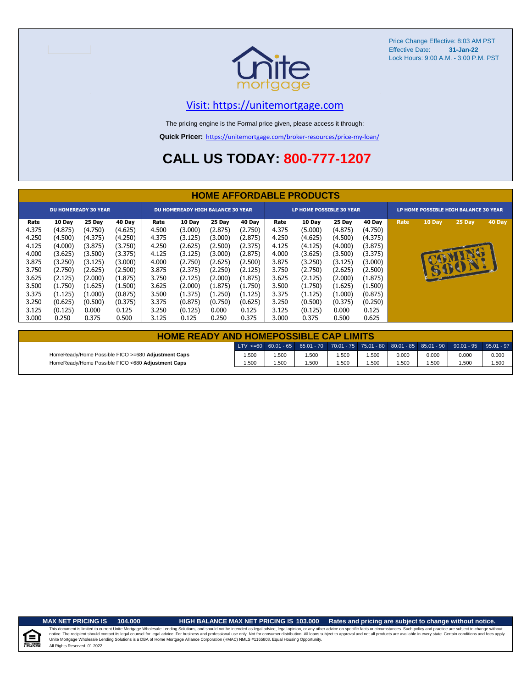

## [V](https://unitemortgage.com/)isit: https://unitemortgage.com

The pricing engine is the Formal price given, please access it through:

**Quick Pricer:** [https://un](https://unitemortgage.com/broker-resources/price-my-loan/)itemortgage.com/broker-resources/price-my-loan/

# **CALL US TODAY: 800-777-1207**

|                                                                                       | <b>HOME AFFORDABLE PRODUCTS</b>                                                                           |                                                                                                           |                                                                                                           |                                                                                       |                                                                                                           |                                                                                                           |                                                                                                                  |                                                                                       |                                                                                                           |                                                                                                           |                                                                                                           |                                       |              |                |        |
|---------------------------------------------------------------------------------------|-----------------------------------------------------------------------------------------------------------|-----------------------------------------------------------------------------------------------------------|-----------------------------------------------------------------------------------------------------------|---------------------------------------------------------------------------------------|-----------------------------------------------------------------------------------------------------------|-----------------------------------------------------------------------------------------------------------|------------------------------------------------------------------------------------------------------------------|---------------------------------------------------------------------------------------|-----------------------------------------------------------------------------------------------------------|-----------------------------------------------------------------------------------------------------------|-----------------------------------------------------------------------------------------------------------|---------------------------------------|--------------|----------------|--------|
|                                                                                       |                                                                                                           | <b>DU HOMEREADY 30 YEAR</b>                                                                               |                                                                                                           | <b>DU HOMEREADY HIGH BALANCE 30 YEAR</b>                                              |                                                                                                           |                                                                                                           |                                                                                                                  |                                                                                       | LP HOME POSSIBLE 30 YEAR                                                                                  |                                                                                                           |                                                                                                           | LP HOME POSSIBLE HIGH BALANCE 30 YEAR |              |                |        |
| Rate<br>4.375<br>4.250<br>4.125<br>4.000<br>3.875<br>3.750<br>3.625<br>3.500<br>3.375 | 10 Day<br>(4.875)<br>(4.500)<br>(4.000)<br>(3.625)<br>(3.250)<br>(2.750)<br>(2.125)<br>(1.750)<br>(1.125) | 25 Day<br>(4.750)<br>(4.375)<br>(3.875)<br>(3.500)<br>(3.125)<br>(2.625)<br>(2.000)<br>(1.625)<br>(1.000) | 40 Day<br>(4.625)<br>(4.250)<br>(3.750)<br>(3.375)<br>(3.000)<br>(2.500)<br>(1.875)<br>(1.500)<br>(0.875) | Rate<br>4.500<br>4.375<br>4.250<br>4.125<br>4.000<br>3.875<br>3.750<br>3.625<br>3.500 | 10 Day<br>(3.000)<br>(3.125)<br>(2.625)<br>(3.125)<br>(2.750)<br>(2.375)<br>(2.125)<br>(2.000)<br>(1.375) | 25 Day<br>(2.875)<br>(3.000)<br>(2.500)<br>(3.000)<br>(2.625)<br>(2.250)<br>(2.000)<br>(1.875)<br>(1.250) | 40 <u>Day</u><br>(2.750)<br>(2.875)<br>(2.375)<br>(2.875)<br>(2.500)<br>(2.125)<br>(1.875)<br>(1.750)<br>(1.125) | Rate<br>4.375<br>4.250<br>4.125<br>4.000<br>3.875<br>3.750<br>3.625<br>3.500<br>3.375 | 10 Day<br>(5.000)<br>(4.625)<br>(4.125)<br>(3.625)<br>(3.250)<br>(2.750)<br>(2.125)<br>(1.750)<br>(1.125) | 25 Day<br>(4.875)<br>(4.500)<br>(4.000)<br>(3.500)<br>(3.125)<br>(2.625)<br>(2.000)<br>(1.625)<br>(1.000) | 40 Day<br>(4.750)<br>(4.375)<br>(3.875)<br>(3.375)<br>(3.000)<br>(2.500)<br>(1.875)<br>(1.500)<br>(0.875) | Rate                                  | 10 Day<br>IJ | 25 Day<br>SOON | 40 Day |
| 3.250<br>3.125<br>3.000                                                               | (0.625)<br>(0.125)<br>0.250                                                                               | (0.500)<br>0.000<br>0.375                                                                                 | (0.375)<br>0.125<br>0.500                                                                                 | 3.375<br>3.250<br>3.125                                                               | (0.875)<br>(0.125)<br>0.125                                                                               | (0.750)<br>0.000<br>0.250                                                                                 | (0.625)<br>0.125<br>0.375                                                                                        | 3.250<br>3.125<br>3.000                                                               | (0.500)<br>(0.125)<br>0.375                                                                               | (0.375)<br>0.000<br>0.500                                                                                 | (0.250)<br>0.125<br>0.625                                                                                 |                                       |              |                |        |

| <b>HOME READY AND HOMEPOSSIBLE CAP LIMITS</b>      |       |      |      |      |       |       |       |                                                                                                  |       |  |  |  |  |
|----------------------------------------------------|-------|------|------|------|-------|-------|-------|--------------------------------------------------------------------------------------------------|-------|--|--|--|--|
|                                                    |       |      |      |      |       |       |       | LTV <=60 60.01 - 65 65.01 - 70 70.01 - 75 75.01 - 80 80.01 - 85 85.01 - 90 90.01 - 95 95.01 - 97 |       |  |  |  |  |
| HomeReady/Home Possible FICO >=680 Adjustment Caps | 1.500 | 500، | .500 | .500 | i.500 | 0.000 | 0.000 | 0.000                                                                                            | 0.000 |  |  |  |  |
| HomeReady/Home Possible FICO <680 Adjustment Caps  | 1.500 | .500 | .500 | .500 | 500،، | .500  | 1.500 | 1.500                                                                                            | 1.500 |  |  |  |  |

u Hou

## **MAX NET PRICING IS 104.000 HIGH BALANCE MAX NET PRICING IS 103.000 Rates and pricing are subject to change without notice.**

All Rights Reserved. 01.2022 This document is limited to current Unite Mortgage Wholesale Lending Solutions, and should not be intended as legal advice, legal opinion, or any other advice on specific facts or circumstances. Such policy and practice ar notice. The recipient should contact its legal coursel for legal advice. For business and professional use only. Not for consumer distribution. All oans subject to approval and not all products are available in every state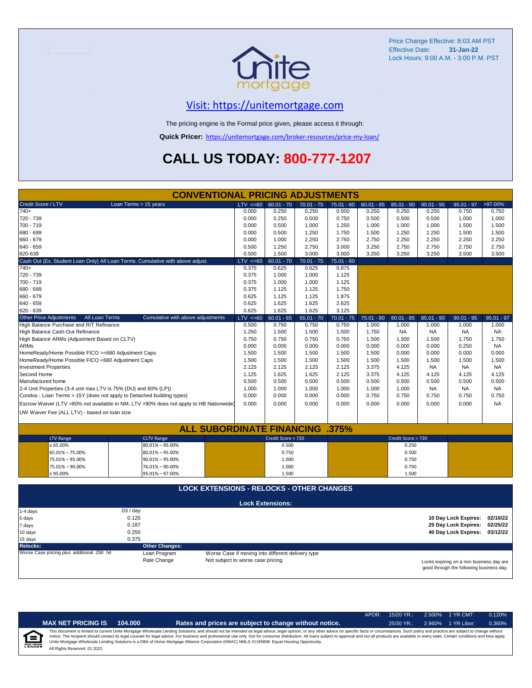

## [V](https://unitemortgage.com/)isit: https://unitemortgage.com

The pricing engine is the Formal price given, please access it through:

**Quick Pricer:** [https://un](https://unitemortgage.com/broker-resources/price-my-loan/)itemortgage.com/broker-resources/price-my-loan/

# **CALL US TODAY: 800-777-1207**

|                                                                                                         | <b>CONVENTIONAL PRICING ADJUSTMENTS</b>                                                |                                                   |                         |                |                |                |                    |                    |                                          |                    |
|---------------------------------------------------------------------------------------------------------|----------------------------------------------------------------------------------------|---------------------------------------------------|-------------------------|----------------|----------------|----------------|--------------------|--------------------|------------------------------------------|--------------------|
| Credit Score / LTV                                                                                      | Loan Terms > 15 years                                                                  | $LTV \le 60$                                      | $60.01 - 70$            | $70.01 - 75$   | $75.01 - 80$   | $80.01 - 85$   | $85.01 - 90$       | $90.01 - 95$       | $95.01 - 97$                             | >97.00%            |
| 740+                                                                                                    |                                                                                        | 0.000                                             | 0.250                   | 0.250          | 0.500          | 0.250          | 0.250              | 0.250              | 0.750                                    | 0.750              |
| 720 - 739                                                                                               |                                                                                        | 0.000                                             | 0.250                   | 0.500          | 0.750          | 0.500          | 0.500              | 0.500              | 1.000                                    | 1.000              |
| 700 - 719                                                                                               |                                                                                        | 0.000                                             | 0.500                   | 1.000          | 1.250          | 1.000          | 1.000              | 1.000              | 1.500                                    | 1.500              |
| 680 - 699                                                                                               |                                                                                        | 0.000                                             | 0.500                   | 1.250          | 1.750          | 1.500          | 1.250              | 1.250              | 1.500                                    | 1.500              |
| 660 - 679                                                                                               |                                                                                        | 0.000                                             | 1.000                   | 2.250          | 2.750          | 2.750          | 2.250              | 2.250              | 2.250                                    | 2.250              |
| 640 - 659                                                                                               |                                                                                        | 0.500                                             | 1.250                   | 2.750          | 3.000          | 3.250          | 2.750              | 2.750              | 2.750                                    | 2.750              |
| 620-639                                                                                                 |                                                                                        | 0.500                                             | 1.500                   | 3.000          | 3.000          | 3.250          | 3.250              | 3.250              | 3.500                                    | 3.500              |
|                                                                                                         | Cash Out (Ex. Student Loan Only) All Loan Terms. Cumulative with above adjust.         | $LTV \le 60$                                      | $60.01 - 70$            | $70.01 - 75$   | $75.01 - 80$   |                |                    |                    |                                          |                    |
| $740+$                                                                                                  |                                                                                        | 0.375                                             | 0.625                   | 0.625          | 0.875          |                |                    |                    |                                          |                    |
| 720 - 739                                                                                               |                                                                                        | 0.375                                             | 1.000                   | 1.000          | 1.125          |                |                    |                    |                                          |                    |
| 700 - 719                                                                                               |                                                                                        | 0.375                                             | 1.000                   | 1.000          | 1.125          |                |                    |                    |                                          |                    |
| 680 - 699                                                                                               |                                                                                        | 0.375                                             | 1.125                   | 1.125          | 1.750          |                |                    |                    |                                          |                    |
| 660 - 679                                                                                               |                                                                                        | 0.625                                             | 1.125                   | 1.125          | 1.875          |                |                    |                    |                                          |                    |
| 640 - 659                                                                                               |                                                                                        | 0.625                                             | 1.625                   | 1.625          | 2.625          |                |                    |                    |                                          |                    |
| 620 - 639                                                                                               |                                                                                        | 0.625                                             | 1.625                   | 1.625          | 3.125          |                |                    |                    |                                          |                    |
| <b>Other Price Adjustments</b><br>All Loan Terms                                                        | Cumulative with above adjustments                                                      | $LTV \le 60$                                      | $60.01 - 65$            | $65.01 - 70$   | $70.01 - 75$   | $75.01 - 80$   | $80.01 - 85$       | $85.01 - 90$       | $90.01 - 95$                             | $95.01 - 97$       |
| High Balance Purchase and R/T Refinance                                                                 |                                                                                        | 0.500                                             | 0.750                   | 0.750          | 0.750          | 1.000          | 1.000              | 1.000              | 1.000                                    | 1.000              |
| High Balance Cash-Out Refinance                                                                         |                                                                                        | 1.250                                             | 1.500                   | 1.500          | 1.500          | 1.750          | <b>NA</b>          | <b>NA</b>          | NA                                       | <b>NA</b>          |
| High Balance ARMs (Adjustment Based on CLTV)                                                            |                                                                                        | 0.750<br>0.000                                    | 0.750                   | 0.750          | 0.750<br>0.000 | 1.500          | 1.500              | 1.500              | 1.750<br>0.250                           | 1.750              |
| <b>ARMs</b>                                                                                             |                                                                                        | 1.500                                             | 0.000                   | 0.000          | 1.500          | 0.000          | 0.000<br>0.000     | 0.000<br>0.000     | 0.000                                    | <b>NA</b><br>0.000 |
| HomeReady/Home Possible FICO >=680 Adjustment Caps<br>HomeReady/Home Possible FICO <680 Adjustment Caps |                                                                                        |                                                   | 1.500<br>1.500          | 1.500          |                | 1.500          |                    |                    | 1.500                                    |                    |
| <b>Investment Properties</b>                                                                            |                                                                                        | 1.500<br>2.125                                    | 2.125                   | 1.500<br>2.125 | 1.500<br>2.125 | 1.500<br>3.375 | 1.500<br>4.125     | 1.500<br><b>NA</b> | <b>NA</b>                                | 1.500<br><b>NA</b> |
| Second Home                                                                                             |                                                                                        | 1.125                                             | 1.625                   | 1.625          | 2.125          | 3.375          | 4.125              | 4.125              | 4.125                                    | 4.125              |
| Manufactured home                                                                                       |                                                                                        | 0.500                                             | 0.500                   | 0.500          | 0.500          | 0.500          | 0.500              | 0.500              | 0.500                                    | 0.500              |
| 2-4 Unit Properties (3-4 unit max LTV is 75% (DU) and 80% (LP))                                         |                                                                                        | 1.000                                             | 1.000                   | 1.000          | 1.000          | 1.000          | 1.000              | <b>NA</b>          | <b>NA</b>                                | <b>NA</b>          |
| Condos - Loan Terms > 15Y (does not apply to Detached building types)                                   |                                                                                        | 0.000                                             | 0.000                   | 0.000          | 0.000          | 0.750          | 0.750              | 0.750              | 0.750                                    | 0.750              |
|                                                                                                         | Escrow Waiver (LTV >80% not available in NM, LTV >90% does not apply to HB Nationwide) | 0.000                                             | 0.000                   | 0.000          | 0.000          | 0.000          | 0.000              | 0.000              | 0.000                                    | <b>NA</b>          |
|                                                                                                         |                                                                                        |                                                   |                         |                |                |                |                    |                    |                                          |                    |
| UW Waiver Fee (ALL LTV) - based on loan size                                                            |                                                                                        |                                                   |                         |                |                |                |                    |                    |                                          |                    |
|                                                                                                         | <b>ALL SUBORDINATE FINANCING</b>                                                       |                                                   |                         |                | .375%          |                |                    |                    |                                          |                    |
| <b>LTV Range</b>                                                                                        | <b>CLTV Range</b>                                                                      |                                                   | Credit Score < 720      |                |                |                | Credit Score > 720 |                    |                                          |                    |
| $\leq 65.00\%$                                                                                          | 80.01% - 95.00%                                                                        |                                                   | 0.500                   |                |                |                | 0.250              |                    |                                          |                    |
| 65.01% - 75.00%                                                                                         | $80.01\% - 95.00\%$                                                                    |                                                   | 0.750                   |                |                |                | 0.500              |                    |                                          |                    |
| 75.01% - 95.00%                                                                                         | $90.01\% - 95.00\%$                                                                    |                                                   | 1.000                   |                |                |                | 0.750              |                    |                                          |                    |
| 75.01% - 90.00%                                                                                         | 76.01% - 90.00%                                                                        |                                                   | 1.000                   |                |                |                | 0.750              |                    |                                          |                    |
| ≤ 95.00%                                                                                                | 95.01% - 97.00%                                                                        |                                                   | 1.500                   |                |                |                | 1.500              |                    |                                          |                    |
|                                                                                                         | <b>LOCK EXTENSIONS - RELOCKS - OTHER CHANGES</b>                                       |                                                   |                         |                |                |                |                    |                    |                                          |                    |
|                                                                                                         |                                                                                        |                                                   |                         |                |                |                |                    |                    |                                          |                    |
|                                                                                                         |                                                                                        |                                                   | <b>Lock Extensions:</b> |                |                |                |                    |                    |                                          |                    |
| 1-4 days                                                                                                | .03 / day                                                                              |                                                   |                         |                |                |                |                    |                    |                                          |                    |
| 5 days                                                                                                  | 0.125                                                                                  |                                                   |                         |                |                |                |                    |                    | 10 Day Lock Expires:                     | 02/10/22           |
| 7 days                                                                                                  | 0.187                                                                                  |                                                   |                         |                |                |                |                    |                    | 25 Day Lock Expires:                     | 02/25/22           |
| 10 days                                                                                                 | 0.250                                                                                  |                                                   |                         |                |                |                |                    |                    | 40 Day Lock Expires: 03/12/22            |                    |
| 15 days                                                                                                 | 0.375                                                                                  |                                                   |                         |                |                |                |                    |                    |                                          |                    |
| <b>Relocks:</b>                                                                                         | <b>Other Changes:</b>                                                                  |                                                   |                         |                |                |                |                    |                    |                                          |                    |
| Worse Case pricing plus additional .250 hit                                                             | Loan Program                                                                           | Worse Case if moving into different delivery type |                         |                |                |                |                    |                    |                                          |                    |
|                                                                                                         | Rate Change                                                                            | Not subject to worse case pricing                 |                         |                |                |                |                    |                    | Locks expiring on a non business day are |                    |

Locks expiring on a non business day are good through the following business day.

|   |                              |         |                                                                                                                                                                                                                                                                                                                                                                                                                                                                                                                                                                                                                | APOR: | $15/20$ YR.: |        | 2.500% 1 YR CMT: | 0.120% |
|---|------------------------------|---------|----------------------------------------------------------------------------------------------------------------------------------------------------------------------------------------------------------------------------------------------------------------------------------------------------------------------------------------------------------------------------------------------------------------------------------------------------------------------------------------------------------------------------------------------------------------------------------------------------------------|-------|--------------|--------|------------------|--------|
|   | <b>MAX NET PRICING IS</b>    | 104.000 | Rates and prices are subject to change without notice.                                                                                                                                                                                                                                                                                                                                                                                                                                                                                                                                                         |       | $25/30$ YR.: | 2.960% | 1 YR Libor:      | 0.360% |
| 食 | All Rights Reserved. 01.2022 |         | This document is limited to current Unite Mortgage Wholesale Lending Solutions, and should not be intended as legal advice, legal opinion, or any other advice on specific facts or circumstances. Such policy and practice ar<br>notice. The recipient should contact its legal counsel for legal advice. For business and professional use only. Not for consumer distribution. All loans subject to approval and not all products are available in every stat<br>Unite Mortgage Wholesale Lending Solutions is a DBA of Home Mortgage Alliance Corporation (HMAC) NMLS #1165808. Equal Housing Opportunity. |       |              |        |                  |        |